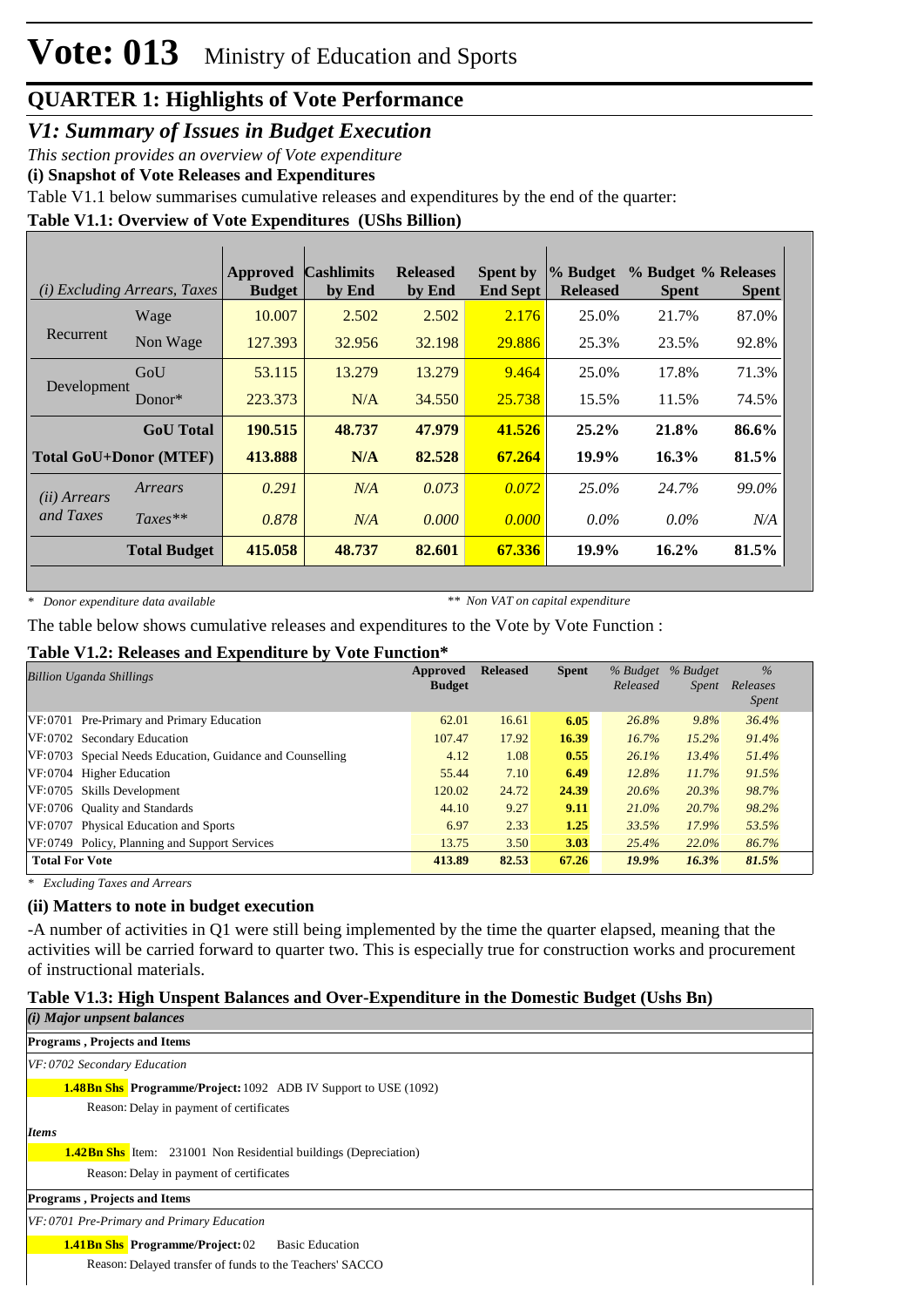*V1: Summary of Issues in Budget Execution*

*This section provides an overview of Vote expenditure* 

**(i) Snapshot of Vote Releases and Expenditures**

Table V1.1 below summarises cumulative releases and expenditures by the end of the quarter:

#### **Table V1.1: Overview of Vote Expenditures (UShs Billion)**

|              | ( <i>i</i> ) Excluding Arrears, Taxes | <b>Approved</b><br><b>Budget</b> | <b>Cashlimits</b><br>by End | <b>Released</b><br>by End | <b>Spent by</b><br><b>End Sept</b> | $\%$ Budget<br><b>Released</b> | % Budget % Releases<br><b>Spent</b> | <b>Spent</b> |
|--------------|---------------------------------------|----------------------------------|-----------------------------|---------------------------|------------------------------------|--------------------------------|-------------------------------------|--------------|
|              | Wage                                  | 10.007                           | 2.502                       | 2.502                     | 2.176                              | 25.0%                          | 21.7%                               | 87.0%        |
| Recurrent    | Non Wage                              | 127.393                          | 32.956                      | 32.198                    | 29.886                             | 25.3%                          | 23.5%                               | 92.8%        |
|              | GoU                                   | 53.115                           | 13.279                      | 13.279                    | 9.464                              | 25.0%                          | 17.8%                               | 71.3%        |
| Development  | Donor $*$                             | 223.373                          | N/A                         | 34.550                    | 25.738                             | 15.5%                          | 11.5%                               | 74.5%        |
|              | <b>GoU</b> Total                      | 190.515                          | 48.737                      | 47.979                    | 41.526                             | $25.2\%$                       | 21.8%                               | 86.6%        |
|              | <b>Total GoU+Donor (MTEF)</b>         | 413.888                          | N/A                         | 82.528                    | 67.264                             | 19.9%                          | 16.3%                               | 81.5%        |
| (ii) Arrears | Arrears                               | 0.291                            | N/A                         | 0.073                     | 0.072                              | $25.0\%$                       | 24.7%                               | 99.0%        |
| and Taxes    | $Taxes**$                             | 0.878                            | N/A                         | 0.000                     | 0.000                              | $0.0\%$                        | $0.0\%$                             | N/A          |
|              | <b>Total Budget</b>                   | 415.058                          | 48.737                      | 82.601                    | 67.336                             | 19.9%                          | $16.2\%$                            | 81.5%        |

*\* Donor expenditure data available*

*\*\* Non VAT on capital expenditure*

The table below shows cumulative releases and expenditures to the Vote by Vote Function :

#### **Table V1.2: Releases and Expenditure by Vote Function\***

| <b>Billion Uganda Shillings</b>                           | Approved<br><b>Budget</b> | <b>Released</b> | <b>Spent</b> | % Budget<br>Released | % Budget<br>Spent | $\%$<br>Releases<br><i>Spent</i> |  |
|-----------------------------------------------------------|---------------------------|-----------------|--------------|----------------------|-------------------|----------------------------------|--|
| VF:0701 Pre-Primary and Primary Education                 | 62.01                     | 16.61           | 6.05         | 26.8%                | 9.8%              | 36.4%                            |  |
| VF:0702 Secondary Education                               | 107.47                    | 17.92           | 16.39        | 16.7%                | 15.2%             | 91.4%                            |  |
| VF:0703 Special Needs Education, Guidance and Counselling | 4.12                      | 1.08            | 0.55         | 26.1%                | 13.4%             | 51.4%                            |  |
| VF:0704 Higher Education                                  | 55.44                     | 7.10            | 6.49         | 12.8%                | 11.7%             | 91.5%                            |  |
| VF:0705 Skills Development                                | 120.02                    | 24.72           | 24.39        | 20.6%                | 20.3%             | 98.7%                            |  |
| VF:0706 Quality and Standards                             | 44.10                     | 9.27            | 9.11         | 21.0%                | 20.7%             | 98.2%                            |  |
| VF:0707 Physical Education and Sports                     | 6.97                      | 2.33            | 1.25         | 33.5%                | 17.9%             | 53.5%                            |  |
| VF:0749 Policy, Planning and Support Services             | 13.75                     | 3.50            | 3.03         | 25.4%                | 22.0%             | 86.7%                            |  |
| <b>Total For Vote</b>                                     | 413.89                    | 82.53           | 67.26        | 19.9%                | 16.3%             | 81.5%                            |  |

*\* Excluding Taxes and Arrears*

#### **(ii) Matters to note in budget execution**

-A number of activities in Q1 were still being implemented by the time the quarter elapsed, meaning that the activities will be carried forward to quarter two. This is especially true for construction works and procurement of instructional materials.

#### **Table V1.3: High Unspent Balances and Over-Expenditure in the Domestic Budget (Ushs Bn)**

| $(i)$ Major unpsent balances                                            |
|-------------------------------------------------------------------------|
| <b>Programs, Projects and Items</b>                                     |
| $VF: 0702$ Secondary Education                                          |
| <b>1.48Bn Shs.</b> Programme/Project: 1092 ADB IV Support to USE (1092) |
| Reason: Delay in payment of certificates                                |
| <b>Items</b>                                                            |
| <b>1.42Bn Shs</b> Item: 231001 Non Residential buildings (Depreciation) |
| Reason: Delay in payment of certificates                                |
| <b>Programs, Projects and Items</b>                                     |
| VF: 0701 Pre-Primary and Primary Education                              |
| <b>1.41Bn Shs</b> Programme/Project: 02<br><b>Basic Education</b>       |
| Reason: Delayed transfer of funds to the Teachers' SACCO                |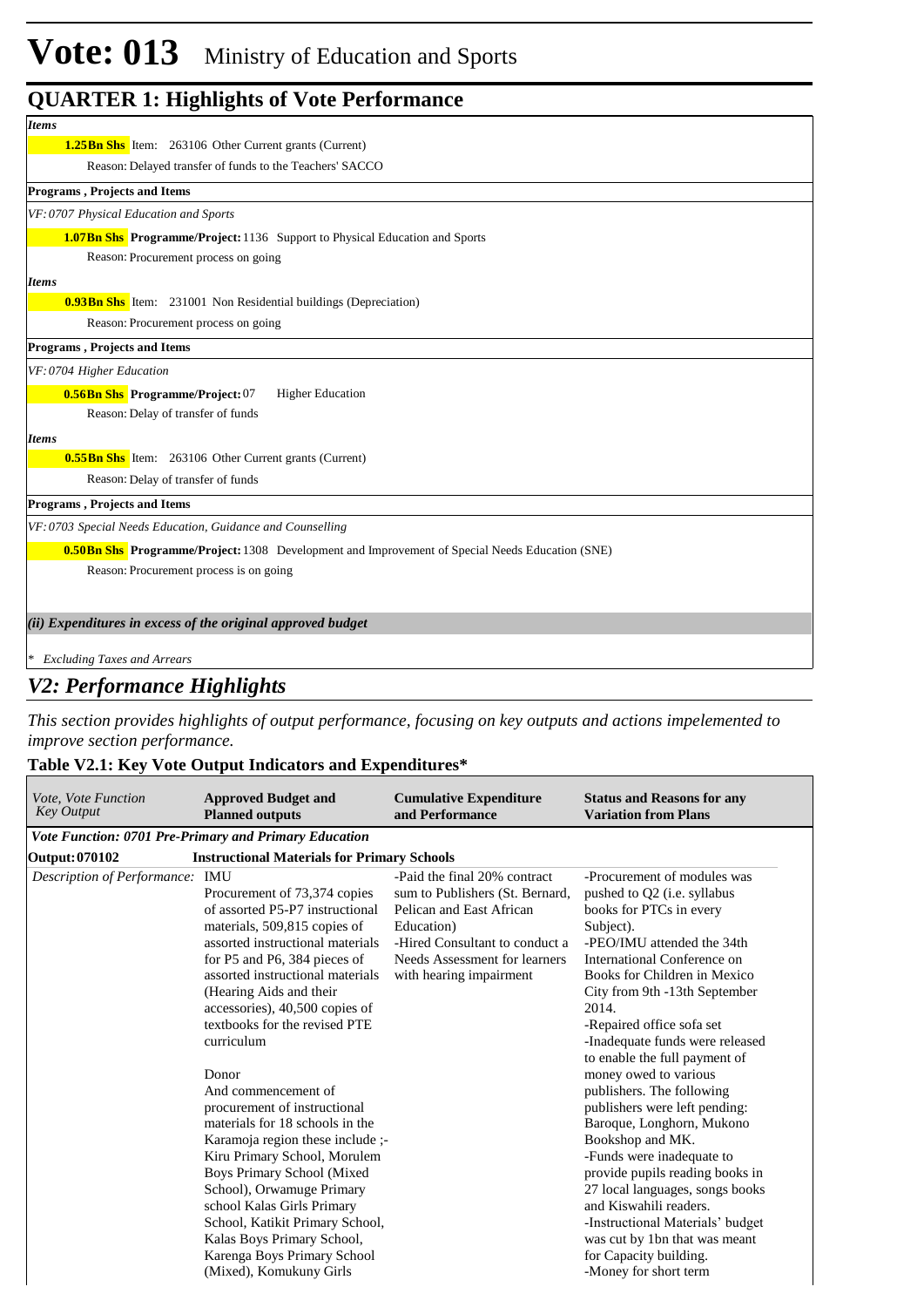| <b>Items</b>                                                                                           |
|--------------------------------------------------------------------------------------------------------|
| <b>1.25Bn Shs</b> Item: 263106 Other Current grants (Current)                                          |
| Reason: Delayed transfer of funds to the Teachers' SACCO                                               |
| Programs, Projects and Items                                                                           |
| VF: 0707 Physical Education and Sports                                                                 |
| <b>1.07Bn Shs</b> Programme/Project: 1136 Support to Physical Education and Sports                     |
| Reason: Procurement process on going                                                                   |
| <b>Items</b>                                                                                           |
| <b>0.93Bn Shs</b> Item: 231001 Non Residential buildings (Depreciation)                                |
| Reason: Procurement process on going                                                                   |
| <b>Programs, Projects and Items</b>                                                                    |
| VF: 0704 Higher Education                                                                              |
| 0.56Bn Shs Programme/Project: 07<br><b>Higher Education</b>                                            |
| Reason: Delay of transfer of funds                                                                     |
| <b>Items</b>                                                                                           |
| <b>0.55Bn Shs</b> Item: 263106 Other Current grants (Current)                                          |
| Reason: Delay of transfer of funds                                                                     |
| Programs, Projects and Items                                                                           |
| VF: 0703 Special Needs Education, Guidance and Counselling                                             |
| <b>0.50Bn Shs</b> Programme/Project: 1308 Development and Improvement of Special Needs Education (SNE) |
| Reason: Procurement process is on going                                                                |
|                                                                                                        |
| (ii) Expenditures in excess of the original approved budget                                            |
|                                                                                                        |
| <b>Excluding Taxes and Arrears</b>                                                                     |

#### *V2: Performance Highlights*

*This section provides highlights of output performance, focusing on key outputs and actions impelemented to improve section performance.*

#### **Table V2.1: Key Vote Output Indicators and Expenditures\***

| Vote, Vote Function<br><b>Key Output</b> | <b>Approved Budget and</b><br><b>Planned outputs</b>                                                                                                                                                                                                                                                                                                                                                                                                                                                                                                                                                                                                                                                                  | <b>Cumulative Expenditure</b><br>and Performance                                                                                                                                                        | <b>Status and Reasons for any</b><br><b>Variation from Plans</b>                                                                                                                                                                                                                                                                                                                                                                                                                                                                                                                                                                                                                                                                        |
|------------------------------------------|-----------------------------------------------------------------------------------------------------------------------------------------------------------------------------------------------------------------------------------------------------------------------------------------------------------------------------------------------------------------------------------------------------------------------------------------------------------------------------------------------------------------------------------------------------------------------------------------------------------------------------------------------------------------------------------------------------------------------|---------------------------------------------------------------------------------------------------------------------------------------------------------------------------------------------------------|-----------------------------------------------------------------------------------------------------------------------------------------------------------------------------------------------------------------------------------------------------------------------------------------------------------------------------------------------------------------------------------------------------------------------------------------------------------------------------------------------------------------------------------------------------------------------------------------------------------------------------------------------------------------------------------------------------------------------------------------|
|                                          | Vote Function: 0701 Pre-Primary and Primary Education                                                                                                                                                                                                                                                                                                                                                                                                                                                                                                                                                                                                                                                                 |                                                                                                                                                                                                         |                                                                                                                                                                                                                                                                                                                                                                                                                                                                                                                                                                                                                                                                                                                                         |
| <b>Output: 070102</b>                    | <b>Instructional Materials for Primary Schools</b>                                                                                                                                                                                                                                                                                                                                                                                                                                                                                                                                                                                                                                                                    |                                                                                                                                                                                                         |                                                                                                                                                                                                                                                                                                                                                                                                                                                                                                                                                                                                                                                                                                                                         |
| Description of Performance:              | IMU<br>Procurement of 73,374 copies<br>of assorted P5-P7 instructional<br>materials, 509,815 copies of<br>assorted instructional materials<br>for P5 and P6, 384 pieces of<br>assorted instructional materials<br>(Hearing Aids and their<br>accessories), 40,500 copies of<br>textbooks for the revised PTE<br>curriculum<br>Donor<br>And commencement of<br>procurement of instructional<br>materials for 18 schools in the<br>Karamoja region these include ;-<br>Kiru Primary School, Morulem<br>Boys Primary School (Mixed<br>School), Orwamuge Primary<br>school Kalas Girls Primary<br>School, Katikit Primary School,<br>Kalas Boys Primary School,<br>Karenga Boys Primary School<br>(Mixed), Komukuny Girls | -Paid the final 20% contract<br>sum to Publishers (St. Bernard,<br>Pelican and East African<br>Education)<br>-Hired Consultant to conduct a<br>Needs Assessment for learners<br>with hearing impairment | -Procurement of modules was<br>pushed to Q2 (i.e. syllabus<br>books for PTCs in every<br>Subject).<br>-PEO/IMU attended the 34th<br>International Conference on<br>Books for Children in Mexico<br>City from 9th -13th September<br>2014.<br>-Repaired office sofa set<br>-Inadequate funds were released<br>to enable the full payment of<br>money owed to various<br>publishers. The following<br>publishers were left pending:<br>Baroque, Longhorn, Mukono<br>Bookshop and MK.<br>-Funds were inadequate to<br>provide pupils reading books in<br>27 local languages, songs books<br>and Kiswahili readers.<br>-Instructional Materials' budget<br>was cut by 1bn that was meant<br>for Capacity building.<br>-Money for short term |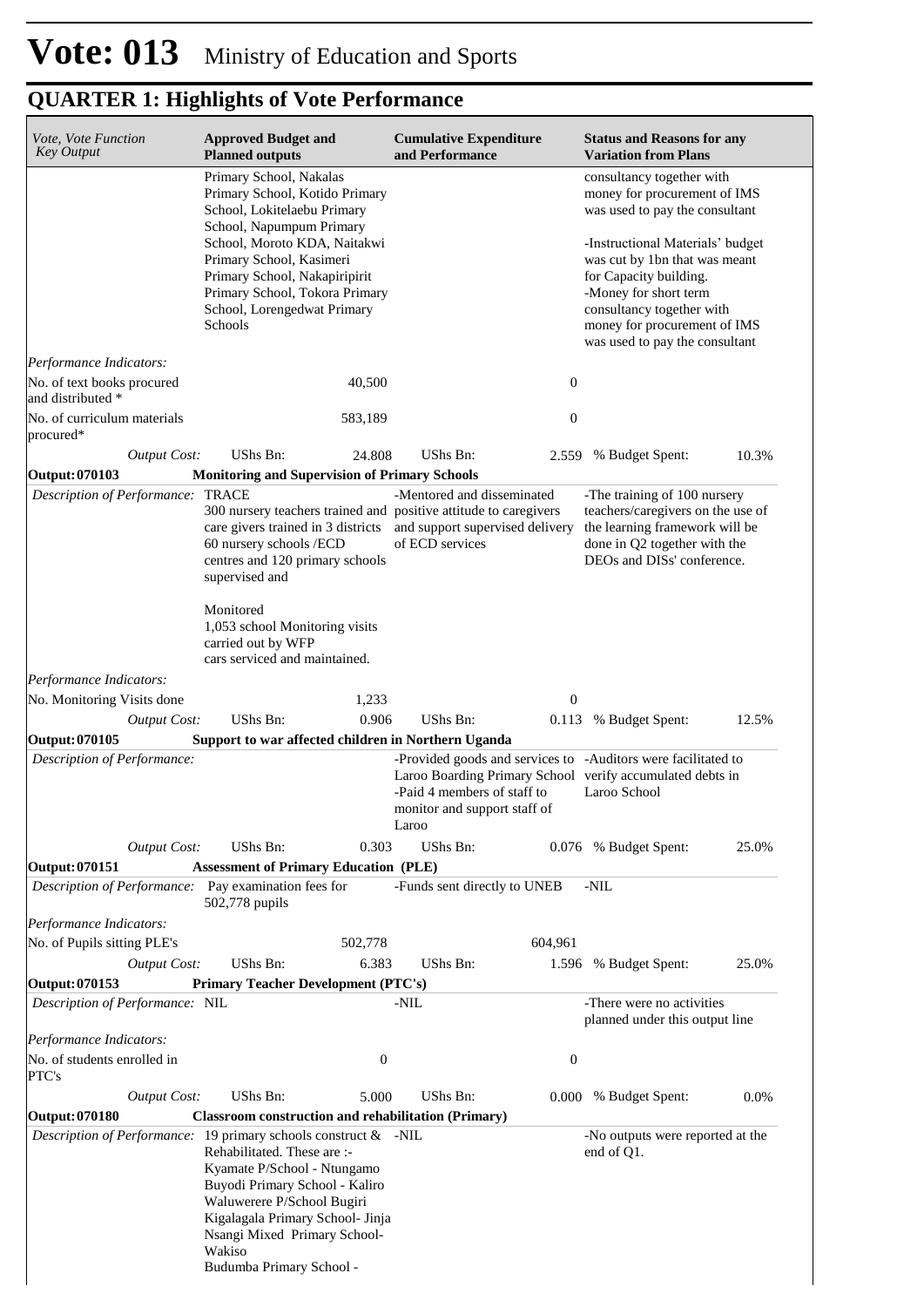| Vote, Vote Function<br><b>Key Output</b>             | <b>Approved Budget and</b><br><b>Planned outputs</b>                                                                                                                                                                                     | <b>Cumulative Expenditure</b><br>and Performance                                                                                                                                          | <b>Status and Reasons for any</b><br><b>Variation from Plans</b>                                                                    |
|------------------------------------------------------|------------------------------------------------------------------------------------------------------------------------------------------------------------------------------------------------------------------------------------------|-------------------------------------------------------------------------------------------------------------------------------------------------------------------------------------------|-------------------------------------------------------------------------------------------------------------------------------------|
|                                                      | Primary School, Nakalas<br>Primary School, Kotido Primary<br>School, Lokitelaebu Primary<br>School, Napumpum Primary                                                                                                                     |                                                                                                                                                                                           | consultancy together with<br>money for procurement of IMS<br>was used to pay the consultant                                         |
|                                                      | School, Moroto KDA, Naitakwi<br>Primary School, Kasimeri<br>Primary School, Nakapiripirit                                                                                                                                                |                                                                                                                                                                                           | -Instructional Materials' budget<br>was cut by 1bn that was meant<br>for Capacity building.                                         |
|                                                      | Primary School, Tokora Primary<br>School, Lorengedwat Primary<br>Schools                                                                                                                                                                 |                                                                                                                                                                                           | -Money for short term<br>consultancy together with<br>money for procurement of IMS<br>was used to pay the consultant                |
| Performance Indicators:                              |                                                                                                                                                                                                                                          |                                                                                                                                                                                           |                                                                                                                                     |
| No. of text books procured<br>and distributed *      | 40,500                                                                                                                                                                                                                                   | $\boldsymbol{0}$                                                                                                                                                                          |                                                                                                                                     |
| No. of curriculum materials<br>procured*             | 583,189                                                                                                                                                                                                                                  | $\boldsymbol{0}$                                                                                                                                                                          |                                                                                                                                     |
| <b>Output Cost:</b>                                  | UShs Bn:<br>24.808                                                                                                                                                                                                                       | UShs Bn:                                                                                                                                                                                  | 10.3%<br>2.559 % Budget Spent:                                                                                                      |
| Output: 070103                                       | <b>Monitoring and Supervision of Primary Schools</b>                                                                                                                                                                                     |                                                                                                                                                                                           |                                                                                                                                     |
| Description of Performance: TRACE                    | 300 nursery teachers trained and positive attitude to caregivers<br>care givers trained in 3 districts<br>60 nursery schools /ECD                                                                                                        | -Mentored and disseminated<br>and support supervised delivery<br>of ECD services                                                                                                          | -The training of 100 nursery<br>teachers/caregivers on the use of<br>the learning framework will be<br>done in Q2 together with the |
|                                                      | centres and 120 primary schools<br>supervised and                                                                                                                                                                                        |                                                                                                                                                                                           | DEOs and DISs' conference.                                                                                                          |
|                                                      | Monitored<br>1,053 school Monitoring visits<br>carried out by WFP<br>cars serviced and maintained.                                                                                                                                       |                                                                                                                                                                                           |                                                                                                                                     |
| Performance Indicators:                              |                                                                                                                                                                                                                                          |                                                                                                                                                                                           |                                                                                                                                     |
| No. Monitoring Visits done                           | 1,233                                                                                                                                                                                                                                    | $\boldsymbol{0}$                                                                                                                                                                          |                                                                                                                                     |
| <b>Output Cost:</b>                                  | UShs Bn:<br>0.906                                                                                                                                                                                                                        | UShs Bn:                                                                                                                                                                                  | 12.5%<br>0.113 % Budget Spent:                                                                                                      |
| Output: 070105                                       | Support to war affected children in Northern Uganda                                                                                                                                                                                      |                                                                                                                                                                                           |                                                                                                                                     |
| Description of Performance:                          |                                                                                                                                                                                                                                          | -Provided goods and services to -Auditors were facilitated to<br>Laroo Boarding Primary School verify accumulated debts in<br>-Paid 4 members of staff to<br>monitor and support staff of | Laroo School                                                                                                                        |
| <b>Output Cost:</b>                                  | 0.303<br>UShs Bn:                                                                                                                                                                                                                        | Laroo<br>UShs Bn:                                                                                                                                                                         | 0.076 % Budget Spent:<br>25.0%                                                                                                      |
| Output: 070151                                       | <b>Assessment of Primary Education (PLE)</b>                                                                                                                                                                                             |                                                                                                                                                                                           |                                                                                                                                     |
| Description of Performance: Pay examination fees for | 502,778 pupils                                                                                                                                                                                                                           | -Funds sent directly to UNEB                                                                                                                                                              | -NIL                                                                                                                                |
| Performance Indicators:                              |                                                                                                                                                                                                                                          |                                                                                                                                                                                           |                                                                                                                                     |
| No. of Pupils sitting PLE's                          | 502,778                                                                                                                                                                                                                                  | 604,961                                                                                                                                                                                   |                                                                                                                                     |
| <b>Output Cost:</b>                                  | 6.383<br>UShs Bn:                                                                                                                                                                                                                        | UShs Bn:                                                                                                                                                                                  | 25.0%<br>1.596 % Budget Spent:                                                                                                      |
| Output: 070153                                       | <b>Primary Teacher Development (PTC's)</b>                                                                                                                                                                                               |                                                                                                                                                                                           |                                                                                                                                     |
| Description of Performance: NIL                      |                                                                                                                                                                                                                                          | -NIL                                                                                                                                                                                      | -There were no activities<br>planned under this output line                                                                         |
| Performance Indicators:                              |                                                                                                                                                                                                                                          |                                                                                                                                                                                           |                                                                                                                                     |
| No. of students enrolled in<br>PTC's                 | $\boldsymbol{0}$                                                                                                                                                                                                                         | $\boldsymbol{0}$                                                                                                                                                                          |                                                                                                                                     |
| <b>Output Cost:</b>                                  | UShs Bn:<br>5.000                                                                                                                                                                                                                        | UShs Bn:                                                                                                                                                                                  | $0.0\%$<br>0.000 % Budget Spent:                                                                                                    |
| <b>Output: 070180</b>                                | <b>Classroom construction and rehabilitation (Primary)</b>                                                                                                                                                                               |                                                                                                                                                                                           |                                                                                                                                     |
|                                                      | <i>Description of Performance:</i> 19 primary schools construct & -NIL<br>Rehabilitated. These are :-<br>Kyamate P/School - Ntungamo<br>Buyodi Primary School - Kaliro<br>Waluwerere P/School Bugiri<br>Kigalagala Primary School- Jinja |                                                                                                                                                                                           | -No outputs were reported at the<br>end of Q1.                                                                                      |
|                                                      | Nsangi Mixed Primary School-<br>Wakiso<br>Budumba Primary School -                                                                                                                                                                       |                                                                                                                                                                                           |                                                                                                                                     |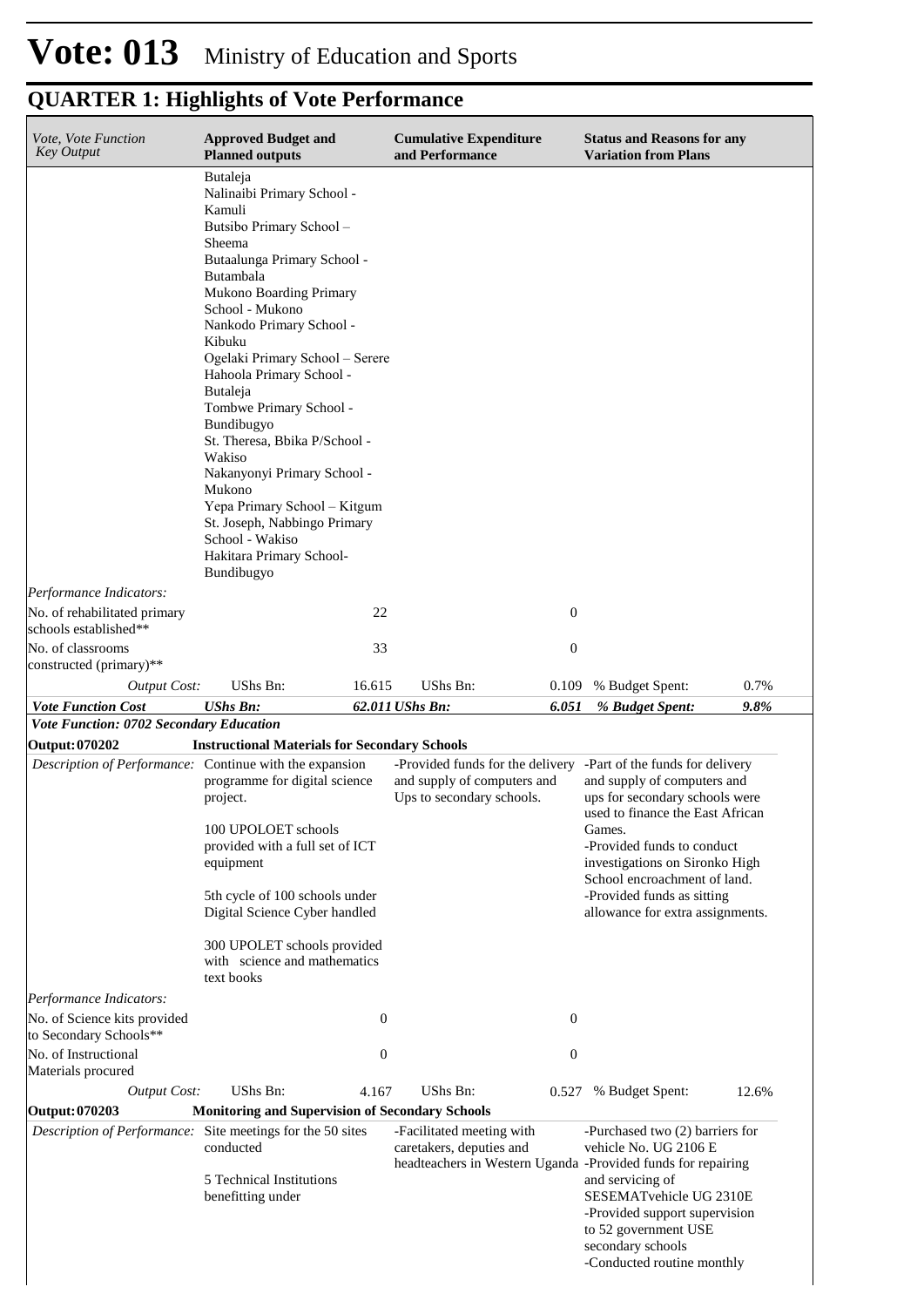| Vote, Vote Function<br>Key Output                                                                         | <b>Approved Budget and</b><br><b>Planned outputs</b>                                                                                                                                                                                                                                                                                                                                                                                                                                                                                          |                                      | <b>Cumulative Expenditure</b><br>and Performance                                                                      |                                      | <b>Status and Reasons for any</b><br><b>Variation from Plans</b>                                                                                                                                                                                                                                                 |       |
|-----------------------------------------------------------------------------------------------------------|-----------------------------------------------------------------------------------------------------------------------------------------------------------------------------------------------------------------------------------------------------------------------------------------------------------------------------------------------------------------------------------------------------------------------------------------------------------------------------------------------------------------------------------------------|--------------------------------------|-----------------------------------------------------------------------------------------------------------------------|--------------------------------------|------------------------------------------------------------------------------------------------------------------------------------------------------------------------------------------------------------------------------------------------------------------------------------------------------------------|-------|
|                                                                                                           | Butaleja<br>Nalinaibi Primary School -<br>Kamuli<br>Butsibo Primary School -<br>Sheema<br>Butaalunga Primary School -<br>Butambala<br>Mukono Boarding Primary<br>School - Mukono<br>Nankodo Primary School -<br>Kibuku<br>Ogelaki Primary School - Serere<br>Hahoola Primary School -<br>Butaleja<br>Tombwe Primary School -<br>Bundibugyo<br>St. Theresa, Bbika P/School -<br>Wakiso<br>Nakanyonyi Primary School -<br>Mukono<br>Yepa Primary School - Kitgum<br>St. Joseph, Nabbingo Primary<br>School - Wakiso<br>Hakitara Primary School- |                                      |                                                                                                                       |                                      |                                                                                                                                                                                                                                                                                                                  |       |
|                                                                                                           | Bundibugyo                                                                                                                                                                                                                                                                                                                                                                                                                                                                                                                                    |                                      |                                                                                                                       |                                      |                                                                                                                                                                                                                                                                                                                  |       |
| Performance Indicators:<br>No. of rehabilitated primary<br>schools established**                          |                                                                                                                                                                                                                                                                                                                                                                                                                                                                                                                                               | 22                                   |                                                                                                                       | $\boldsymbol{0}$                     |                                                                                                                                                                                                                                                                                                                  |       |
| No. of classrooms                                                                                         |                                                                                                                                                                                                                                                                                                                                                                                                                                                                                                                                               | 33                                   |                                                                                                                       | $\boldsymbol{0}$                     |                                                                                                                                                                                                                                                                                                                  |       |
| constructed (primary)**                                                                                   |                                                                                                                                                                                                                                                                                                                                                                                                                                                                                                                                               |                                      |                                                                                                                       |                                      |                                                                                                                                                                                                                                                                                                                  |       |
| <b>Output Cost:</b>                                                                                       | UShs Bn:                                                                                                                                                                                                                                                                                                                                                                                                                                                                                                                                      | 16.615                               | UShs Bn:                                                                                                              | 0.109                                | % Budget Spent:                                                                                                                                                                                                                                                                                                  | 0.7%  |
| <b>Vote Function Cost</b>                                                                                 | <b>UShs Bn:</b>                                                                                                                                                                                                                                                                                                                                                                                                                                                                                                                               |                                      | 62.011 UShs Bn:                                                                                                       | 6.051                                | % Budget Spent:                                                                                                                                                                                                                                                                                                  | 9.8%  |
| Vote Function: 0702 Secondary Education                                                                   |                                                                                                                                                                                                                                                                                                                                                                                                                                                                                                                                               |                                      |                                                                                                                       |                                      |                                                                                                                                                                                                                                                                                                                  |       |
| <b>Output: 070202</b><br>Description of Performance: Continue with the expansion                          | <b>Instructional Materials for Secondary Schools</b><br>programme for digital science<br>project.<br>100 UPOLOET schools<br>provided with a full set of ICT<br>equipment<br>5th cycle of 100 schools under<br>Digital Science Cyber handled<br>300 UPOLET schools provided                                                                                                                                                                                                                                                                    |                                      | -Provided funds for the delivery<br>and supply of computers and<br>Ups to secondary schools.                          |                                      | -Part of the funds for delivery<br>and supply of computers and<br>ups for secondary schools were<br>used to finance the East African<br>Games.<br>-Provided funds to conduct<br>investigations on Sironko High<br>School encroachment of land.<br>-Provided funds as sitting<br>allowance for extra assignments. |       |
|                                                                                                           | with science and mathematics<br>text books                                                                                                                                                                                                                                                                                                                                                                                                                                                                                                    |                                      |                                                                                                                       |                                      |                                                                                                                                                                                                                                                                                                                  |       |
| Performance Indicators:<br>No. of Science kits provided<br>to Secondary Schools**<br>No. of Instructional |                                                                                                                                                                                                                                                                                                                                                                                                                                                                                                                                               | $\boldsymbol{0}$<br>$\boldsymbol{0}$ |                                                                                                                       | $\boldsymbol{0}$<br>$\boldsymbol{0}$ |                                                                                                                                                                                                                                                                                                                  |       |
| Materials procured<br><b>Output Cost:</b>                                                                 | UShs Bn:                                                                                                                                                                                                                                                                                                                                                                                                                                                                                                                                      | 4.167                                | UShs Bn:                                                                                                              | 0.527                                | % Budget Spent:                                                                                                                                                                                                                                                                                                  | 12.6% |
| <b>Output: 070203</b>                                                                                     | <b>Monitoring and Supervision of Secondary Schools</b>                                                                                                                                                                                                                                                                                                                                                                                                                                                                                        |                                      |                                                                                                                       |                                      |                                                                                                                                                                                                                                                                                                                  |       |
| <i>Description of Performance:</i> Site meetings for the 50 sites                                         | conducted<br>5 Technical Institutions<br>benefitting under                                                                                                                                                                                                                                                                                                                                                                                                                                                                                    |                                      | -Facilitated meeting with<br>caretakers, deputies and<br>headteachers in Western Uganda -Provided funds for repairing |                                      | -Purchased two (2) barriers for<br>vehicle No. UG 2106 E<br>and servicing of<br>SESEMATvehicle UG 2310E<br>-Provided support supervision<br>to 52 government USE<br>secondary schools                                                                                                                            |       |
|                                                                                                           |                                                                                                                                                                                                                                                                                                                                                                                                                                                                                                                                               |                                      |                                                                                                                       |                                      | -Conducted routine monthly                                                                                                                                                                                                                                                                                       |       |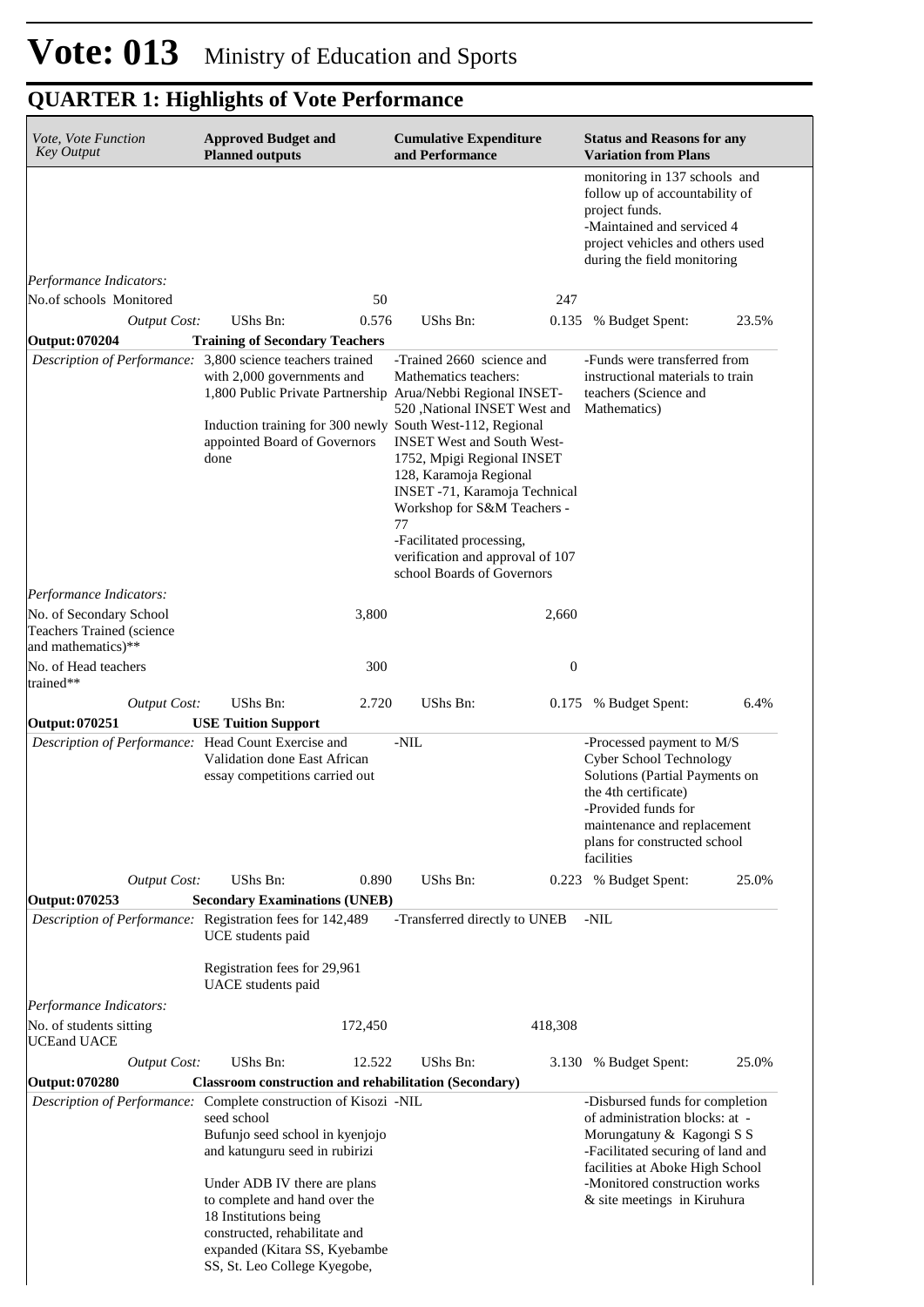|                                      |                                                                                                                        |                                                                                                                                                                                                                                                                                                                                                                                                                                                                                                                                                                                                                                 |                                                                                                                                                           | monitoring in 137 schools and                                                                                                                                                                                                                                                                                                                                                                                                                                                                                                                      |                                                                                                                                                                                                                                                                                                                                                                                                                                                                                                                                                                                |
|--------------------------------------|------------------------------------------------------------------------------------------------------------------------|---------------------------------------------------------------------------------------------------------------------------------------------------------------------------------------------------------------------------------------------------------------------------------------------------------------------------------------------------------------------------------------------------------------------------------------------------------------------------------------------------------------------------------------------------------------------------------------------------------------------------------|-----------------------------------------------------------------------------------------------------------------------------------------------------------|----------------------------------------------------------------------------------------------------------------------------------------------------------------------------------------------------------------------------------------------------------------------------------------------------------------------------------------------------------------------------------------------------------------------------------------------------------------------------------------------------------------------------------------------------|--------------------------------------------------------------------------------------------------------------------------------------------------------------------------------------------------------------------------------------------------------------------------------------------------------------------------------------------------------------------------------------------------------------------------------------------------------------------------------------------------------------------------------------------------------------------------------|
|                                      |                                                                                                                        |                                                                                                                                                                                                                                                                                                                                                                                                                                                                                                                                                                                                                                 |                                                                                                                                                           | follow up of accountability of<br>project funds.<br>-Maintained and serviced 4<br>project vehicles and others used<br>during the field monitoring                                                                                                                                                                                                                                                                                                                                                                                                  |                                                                                                                                                                                                                                                                                                                                                                                                                                                                                                                                                                                |
|                                      |                                                                                                                        |                                                                                                                                                                                                                                                                                                                                                                                                                                                                                                                                                                                                                                 |                                                                                                                                                           |                                                                                                                                                                                                                                                                                                                                                                                                                                                                                                                                                    |                                                                                                                                                                                                                                                                                                                                                                                                                                                                                                                                                                                |
|                                      | 50                                                                                                                     |                                                                                                                                                                                                                                                                                                                                                                                                                                                                                                                                                                                                                                 | 247                                                                                                                                                       |                                                                                                                                                                                                                                                                                                                                                                                                                                                                                                                                                    |                                                                                                                                                                                                                                                                                                                                                                                                                                                                                                                                                                                |
| UShs Bn:                             |                                                                                                                        |                                                                                                                                                                                                                                                                                                                                                                                                                                                                                                                                                                                                                                 |                                                                                                                                                           | % Budget Spent:                                                                                                                                                                                                                                                                                                                                                                                                                                                                                                                                    | 23.5%                                                                                                                                                                                                                                                                                                                                                                                                                                                                                                                                                                          |
|                                      |                                                                                                                        |                                                                                                                                                                                                                                                                                                                                                                                                                                                                                                                                                                                                                                 |                                                                                                                                                           |                                                                                                                                                                                                                                                                                                                                                                                                                                                                                                                                                    |                                                                                                                                                                                                                                                                                                                                                                                                                                                                                                                                                                                |
| done                                 |                                                                                                                        | Mathematics teachers:<br>77                                                                                                                                                                                                                                                                                                                                                                                                                                                                                                                                                                                                     |                                                                                                                                                           |                                                                                                                                                                                                                                                                                                                                                                                                                                                                                                                                                    |                                                                                                                                                                                                                                                                                                                                                                                                                                                                                                                                                                                |
|                                      |                                                                                                                        |                                                                                                                                                                                                                                                                                                                                                                                                                                                                                                                                                                                                                                 |                                                                                                                                                           |                                                                                                                                                                                                                                                                                                                                                                                                                                                                                                                                                    |                                                                                                                                                                                                                                                                                                                                                                                                                                                                                                                                                                                |
|                                      | 3,800                                                                                                                  |                                                                                                                                                                                                                                                                                                                                                                                                                                                                                                                                                                                                                                 | 2,660                                                                                                                                                     |                                                                                                                                                                                                                                                                                                                                                                                                                                                                                                                                                    |                                                                                                                                                                                                                                                                                                                                                                                                                                                                                                                                                                                |
|                                      | 300                                                                                                                    |                                                                                                                                                                                                                                                                                                                                                                                                                                                                                                                                                                                                                                 | $\boldsymbol{0}$                                                                                                                                          |                                                                                                                                                                                                                                                                                                                                                                                                                                                                                                                                                    |                                                                                                                                                                                                                                                                                                                                                                                                                                                                                                                                                                                |
| UShs Bn:                             |                                                                                                                        | UShs Bn:                                                                                                                                                                                                                                                                                                                                                                                                                                                                                                                                                                                                                        |                                                                                                                                                           | % Budget Spent:                                                                                                                                                                                                                                                                                                                                                                                                                                                                                                                                    | 6.4%                                                                                                                                                                                                                                                                                                                                                                                                                                                                                                                                                                           |
|                                      |                                                                                                                        |                                                                                                                                                                                                                                                                                                                                                                                                                                                                                                                                                                                                                                 |                                                                                                                                                           |                                                                                                                                                                                                                                                                                                                                                                                                                                                                                                                                                    |                                                                                                                                                                                                                                                                                                                                                                                                                                                                                                                                                                                |
|                                      |                                                                                                                        | $-NIL$                                                                                                                                                                                                                                                                                                                                                                                                                                                                                                                                                                                                                          |                                                                                                                                                           | the 4th certificate)<br>-Provided funds for                                                                                                                                                                                                                                                                                                                                                                                                                                                                                                        |                                                                                                                                                                                                                                                                                                                                                                                                                                                                                                                                                                                |
| UShs Bn:                             |                                                                                                                        | UShs Bn:                                                                                                                                                                                                                                                                                                                                                                                                                                                                                                                                                                                                                        |                                                                                                                                                           |                                                                                                                                                                                                                                                                                                                                                                                                                                                                                                                                                    | 25.0%                                                                                                                                                                                                                                                                                                                                                                                                                                                                                                                                                                          |
|                                      |                                                                                                                        |                                                                                                                                                                                                                                                                                                                                                                                                                                                                                                                                                                                                                                 |                                                                                                                                                           |                                                                                                                                                                                                                                                                                                                                                                                                                                                                                                                                                    |                                                                                                                                                                                                                                                                                                                                                                                                                                                                                                                                                                                |
| UCE students paid                    |                                                                                                                        |                                                                                                                                                                                                                                                                                                                                                                                                                                                                                                                                                                                                                                 |                                                                                                                                                           | -NIL                                                                                                                                                                                                                                                                                                                                                                                                                                                                                                                                               |                                                                                                                                                                                                                                                                                                                                                                                                                                                                                                                                                                                |
| UACE students paid                   |                                                                                                                        |                                                                                                                                                                                                                                                                                                                                                                                                                                                                                                                                                                                                                                 |                                                                                                                                                           |                                                                                                                                                                                                                                                                                                                                                                                                                                                                                                                                                    |                                                                                                                                                                                                                                                                                                                                                                                                                                                                                                                                                                                |
|                                      |                                                                                                                        |                                                                                                                                                                                                                                                                                                                                                                                                                                                                                                                                                                                                                                 |                                                                                                                                                           |                                                                                                                                                                                                                                                                                                                                                                                                                                                                                                                                                    |                                                                                                                                                                                                                                                                                                                                                                                                                                                                                                                                                                                |
|                                      | 172,450                                                                                                                |                                                                                                                                                                                                                                                                                                                                                                                                                                                                                                                                                                                                                                 | 418,308                                                                                                                                                   |                                                                                                                                                                                                                                                                                                                                                                                                                                                                                                                                                    |                                                                                                                                                                                                                                                                                                                                                                                                                                                                                                                                                                                |
| UShs Bn:                             |                                                                                                                        | <b>UShs Bn:</b>                                                                                                                                                                                                                                                                                                                                                                                                                                                                                                                                                                                                                 |                                                                                                                                                           | % Budget Spent:                                                                                                                                                                                                                                                                                                                                                                                                                                                                                                                                    | 25.0%                                                                                                                                                                                                                                                                                                                                                                                                                                                                                                                                                                          |
|                                      |                                                                                                                        |                                                                                                                                                                                                                                                                                                                                                                                                                                                                                                                                                                                                                                 |                                                                                                                                                           |                                                                                                                                                                                                                                                                                                                                                                                                                                                                                                                                                    |                                                                                                                                                                                                                                                                                                                                                                                                                                                                                                                                                                                |
| seed school<br>18 Institutions being |                                                                                                                        |                                                                                                                                                                                                                                                                                                                                                                                                                                                                                                                                                                                                                                 |                                                                                                                                                           |                                                                                                                                                                                                                                                                                                                                                                                                                                                                                                                                                    |                                                                                                                                                                                                                                                                                                                                                                                                                                                                                                                                                                                |
|                                      | <b>Output Cost:</b><br><b>Output Cost:</b><br><b>USE Tuition Support</b><br><b>Output Cost:</b><br><b>Output Cost:</b> | <b>Training of Secondary Teachers</b><br>Description of Performance: 3,800 science teachers trained<br>with 2,000 governments and<br>appointed Board of Governors<br>Description of Performance: Head Count Exercise and<br>Validation done East African<br>essay competitions carried out<br>Description of Performance: Registration fees for 142,489<br>Registration fees for 29,961<br>Bufunjo seed school in kyenjojo<br>and katunguru seed in rubirizi<br>Under ADB IV there are plans<br>to complete and hand over the<br>constructed, rehabilitate and<br>expanded (Kitara SS, Kyebambe<br>SS, St. Leo College Kyegobe, | 0.576<br>UShs Bn:<br>2.720<br>0.890<br><b>Secondary Examinations (UNEB)</b><br>12.522<br>Description of Performance: Complete construction of Kisozi -NIL | -Trained 2660 science and<br>1,800 Public Private Partnership Arua/Nebbi Regional INSET-<br>520 , National INSET West and<br>Induction training for 300 newly South West-112, Regional<br><b>INSET West and South West-</b><br>1752, Mpigi Regional INSET<br>128, Karamoja Regional<br>INSET -71, Karamoja Technical<br>Workshop for S&M Teachers -<br>-Facilitated processing,<br>verification and approval of 107<br>school Boards of Governors<br>-Transferred directly to UNEB<br><b>Classroom construction and rehabilitation (Secondary)</b> | 0.135<br>-Funds were transferred from<br>instructional materials to train<br>teachers (Science and<br>Mathematics)<br>0.175<br>-Processed payment to M/S<br>Cyber School Technology<br>Solutions (Partial Payments on<br>maintenance and replacement<br>plans for constructed school<br>facilities<br>0.223 % Budget Spent:<br>3.130<br>-Disbursed funds for completion<br>of administration blocks: at -<br>Morungatuny & Kagongi S S<br>-Facilitated securing of land and<br>facilities at Aboke High School<br>-Monitored construction works<br>& site meetings in Kiruhura |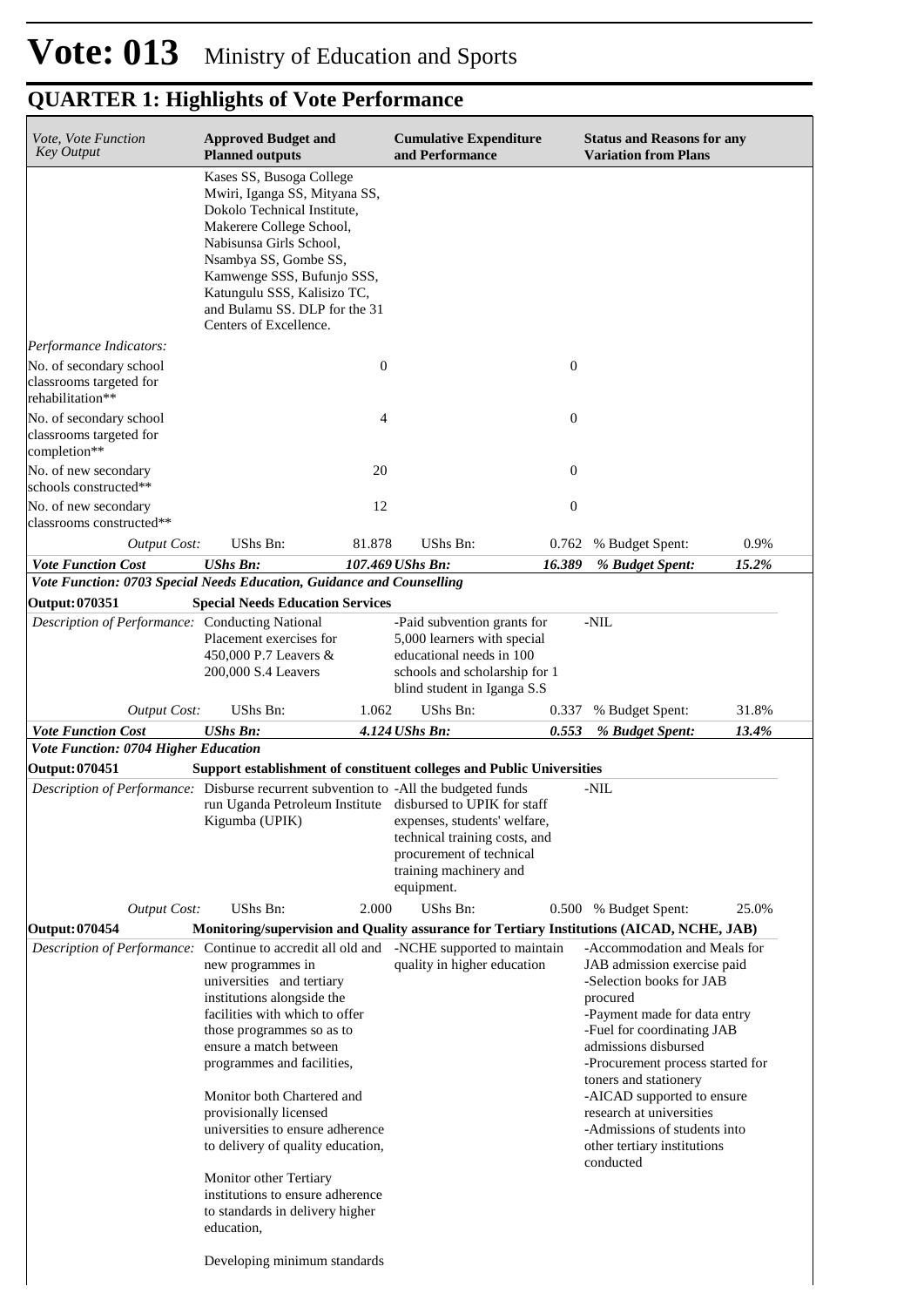| Vote, Vote Function<br><b>Key Output</b>                                                                          | <b>Approved Budget and</b><br><b>Planned outputs</b>                                                                                                                                                                                                                                                                           |                  | <b>Cumulative Expenditure</b><br>and Performance                                                                                                       |                  | <b>Status and Reasons for any</b><br><b>Variation from Plans</b>                                                                                                                                                                                                                                                 |       |
|-------------------------------------------------------------------------------------------------------------------|--------------------------------------------------------------------------------------------------------------------------------------------------------------------------------------------------------------------------------------------------------------------------------------------------------------------------------|------------------|--------------------------------------------------------------------------------------------------------------------------------------------------------|------------------|------------------------------------------------------------------------------------------------------------------------------------------------------------------------------------------------------------------------------------------------------------------------------------------------------------------|-------|
|                                                                                                                   | Kases SS, Busoga College<br>Mwiri, Iganga SS, Mityana SS,<br>Dokolo Technical Institute,<br>Makerere College School,<br>Nabisunsa Girls School,<br>Nsambya SS, Gombe SS,<br>Kamwenge SSS, Bufunjo SSS,<br>Katungulu SSS, Kalisizo TC,<br>and Bulamu SS. DLP for the 31<br>Centers of Excellence.                               |                  |                                                                                                                                                        |                  |                                                                                                                                                                                                                                                                                                                  |       |
| Performance Indicators:                                                                                           |                                                                                                                                                                                                                                                                                                                                |                  |                                                                                                                                                        |                  |                                                                                                                                                                                                                                                                                                                  |       |
| No. of secondary school<br>classrooms targeted for<br>rehabilitation**                                            |                                                                                                                                                                                                                                                                                                                                | $\boldsymbol{0}$ |                                                                                                                                                        | $\boldsymbol{0}$ |                                                                                                                                                                                                                                                                                                                  |       |
| No. of secondary school<br>classrooms targeted for<br>completion**                                                |                                                                                                                                                                                                                                                                                                                                | 4                |                                                                                                                                                        | $\mathbf{0}$     |                                                                                                                                                                                                                                                                                                                  |       |
| No. of new secondary<br>schools constructed**                                                                     |                                                                                                                                                                                                                                                                                                                                | 20               |                                                                                                                                                        | $\boldsymbol{0}$ |                                                                                                                                                                                                                                                                                                                  |       |
| No. of new secondary<br>classrooms constructed**                                                                  |                                                                                                                                                                                                                                                                                                                                | 12               |                                                                                                                                                        | $\boldsymbol{0}$ |                                                                                                                                                                                                                                                                                                                  |       |
| <b>Output Cost:</b>                                                                                               | UShs Bn:                                                                                                                                                                                                                                                                                                                       | 81.878           | UShs Bn:                                                                                                                                               | 0.762            | % Budget Spent:                                                                                                                                                                                                                                                                                                  | 0.9%  |
| <b>Vote Function Cost</b><br>Vote Function: 0703 Special Needs Education, Guidance and Counselling                | <b>UShs Bn:</b>                                                                                                                                                                                                                                                                                                                |                  | 107.469 UShs Bn:                                                                                                                                       | 16.389           | % Budget Spent:                                                                                                                                                                                                                                                                                                  | 15.2% |
| Output: 070351                                                                                                    | <b>Special Needs Education Services</b>                                                                                                                                                                                                                                                                                        |                  |                                                                                                                                                        |                  |                                                                                                                                                                                                                                                                                                                  |       |
| Description of Performance: Conducting National                                                                   | Placement exercises for<br>450,000 P.7 Leavers &<br>200,000 S.4 Leavers                                                                                                                                                                                                                                                        |                  | -Paid subvention grants for<br>5,000 learners with special<br>educational needs in 100<br>schools and scholarship for 1<br>blind student in Iganga S.S |                  | -NIL                                                                                                                                                                                                                                                                                                             |       |
| <b>Output Cost:</b>                                                                                               | <b>UShs Bn:</b>                                                                                                                                                                                                                                                                                                                | 1.062            | UShs Bn:                                                                                                                                               | 0.337            | % Budget Spent:                                                                                                                                                                                                                                                                                                  | 31.8% |
| <b>Vote Function Cost</b>                                                                                         | <b>UShs Bn:</b>                                                                                                                                                                                                                                                                                                                |                  | 4.124 UShs Bn:                                                                                                                                         | 0.553            | % Budget Spent:                                                                                                                                                                                                                                                                                                  | 13.4% |
| Vote Function: 0704 Higher Education<br><b>Output: 070451</b>                                                     | Support establishment of constituent colleges and Public Universities                                                                                                                                                                                                                                                          |                  |                                                                                                                                                        |                  |                                                                                                                                                                                                                                                                                                                  |       |
| Description of Performance: Disburse recurrent subvention to -All the budgeted funds                              | run Uganda Petroleum Institute disbursed to UPIK for staff<br>Kigumba (UPIK)                                                                                                                                                                                                                                                   |                  | expenses, students' welfare,<br>technical training costs, and<br>procurement of technical<br>training machinery and<br>equipment.                      |                  | -NIL                                                                                                                                                                                                                                                                                                             |       |
| <b>Output Cost:</b>                                                                                               | UShs Bn:                                                                                                                                                                                                                                                                                                                       | 2.000            | UShs Bn:                                                                                                                                               |                  | 0.500 % Budget Spent:                                                                                                                                                                                                                                                                                            | 25.0% |
| Output: 070454<br><i>Description of Performance:</i> Continue to accredit all old and -NCHE supported to maintain | Monitoring/supervision and Quality assurance for Tertiary Institutions (AICAD, NCHE, JAB)<br>new programmes in<br>universities and tertiary<br>institutions alongside the<br>facilities with which to offer<br>those programmes so as to<br>ensure a match between<br>programmes and facilities,<br>Monitor both Chartered and |                  | quality in higher education                                                                                                                            |                  | -Accommodation and Meals for<br>JAB admission exercise paid<br>-Selection books for JAB<br>procured<br>-Payment made for data entry<br>-Fuel for coordinating JAB<br>admissions disbursed<br>-Procurement process started for<br>toners and stationery<br>-AICAD supported to ensure<br>research at universities |       |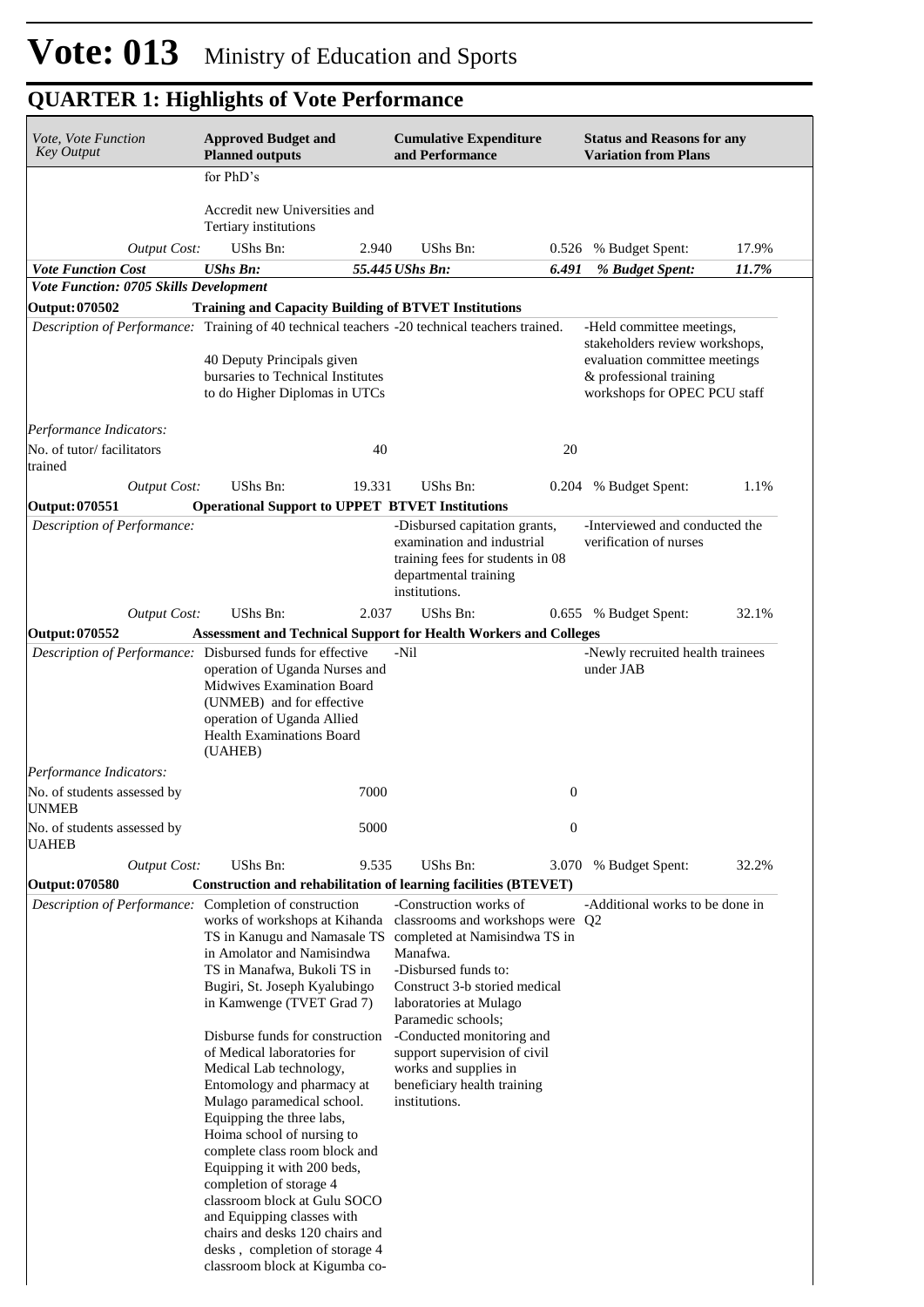| Vote, Vote Function<br><b>Key Output</b>                                                      | <b>Approved Budget and</b><br><b>Planned outputs</b>                                                                                                                                                                                                                                                                                                                                                                                                                                                                                                                |        | <b>Cumulative Expenditure</b><br>and Performance                                                                                                                                                                                                                                                                                                                                    |                  | <b>Status and Reasons for any</b><br><b>Variation from Plans</b>                                                                                        |       |
|-----------------------------------------------------------------------------------------------|---------------------------------------------------------------------------------------------------------------------------------------------------------------------------------------------------------------------------------------------------------------------------------------------------------------------------------------------------------------------------------------------------------------------------------------------------------------------------------------------------------------------------------------------------------------------|--------|-------------------------------------------------------------------------------------------------------------------------------------------------------------------------------------------------------------------------------------------------------------------------------------------------------------------------------------------------------------------------------------|------------------|---------------------------------------------------------------------------------------------------------------------------------------------------------|-------|
|                                                                                               | for PhD's                                                                                                                                                                                                                                                                                                                                                                                                                                                                                                                                                           |        |                                                                                                                                                                                                                                                                                                                                                                                     |                  |                                                                                                                                                         |       |
|                                                                                               | Accredit new Universities and<br>Tertiary institutions                                                                                                                                                                                                                                                                                                                                                                                                                                                                                                              |        |                                                                                                                                                                                                                                                                                                                                                                                     |                  |                                                                                                                                                         |       |
| <b>Output Cost:</b>                                                                           | UShs Bn:                                                                                                                                                                                                                                                                                                                                                                                                                                                                                                                                                            | 2.940  | UShs Bn:                                                                                                                                                                                                                                                                                                                                                                            | 0.526            | % Budget Spent:                                                                                                                                         | 17.9% |
| <b>Vote Function Cost</b>                                                                     | <b>UShs Bn:</b>                                                                                                                                                                                                                                                                                                                                                                                                                                                                                                                                                     |        | 55.445 UShs Bn:                                                                                                                                                                                                                                                                                                                                                                     | 6.491            | % Budget Spent:                                                                                                                                         | 11.7% |
| Vote Function: 0705 Skills Development                                                        |                                                                                                                                                                                                                                                                                                                                                                                                                                                                                                                                                                     |        |                                                                                                                                                                                                                                                                                                                                                                                     |                  |                                                                                                                                                         |       |
| <b>Output: 070502</b>                                                                         | <b>Training and Capacity Building of BTVET Institutions</b>                                                                                                                                                                                                                                                                                                                                                                                                                                                                                                         |        |                                                                                                                                                                                                                                                                                                                                                                                     |                  |                                                                                                                                                         |       |
| Description of Performance: Training of 40 technical teachers -20 technical teachers trained. | 40 Deputy Principals given<br>bursaries to Technical Institutes<br>to do Higher Diplomas in UTCs                                                                                                                                                                                                                                                                                                                                                                                                                                                                    |        |                                                                                                                                                                                                                                                                                                                                                                                     |                  | -Held committee meetings,<br>stakeholders review workshops,<br>evaluation committee meetings<br>& professional training<br>workshops for OPEC PCU staff |       |
| Performance Indicators:<br>No. of tutor/facilitators                                          |                                                                                                                                                                                                                                                                                                                                                                                                                                                                                                                                                                     | 40     |                                                                                                                                                                                                                                                                                                                                                                                     | 20               |                                                                                                                                                         |       |
| trained                                                                                       |                                                                                                                                                                                                                                                                                                                                                                                                                                                                                                                                                                     |        |                                                                                                                                                                                                                                                                                                                                                                                     |                  |                                                                                                                                                         |       |
| <b>Output Cost:</b>                                                                           | UShs Bn:                                                                                                                                                                                                                                                                                                                                                                                                                                                                                                                                                            | 19.331 | UShs Bn:                                                                                                                                                                                                                                                                                                                                                                            | 0.204            | % Budget Spent:                                                                                                                                         | 1.1%  |
| <b>Output: 070551</b>                                                                         | <b>Operational Support to UPPET BTVET Institutions</b>                                                                                                                                                                                                                                                                                                                                                                                                                                                                                                              |        |                                                                                                                                                                                                                                                                                                                                                                                     |                  |                                                                                                                                                         |       |
| Description of Performance:                                                                   |                                                                                                                                                                                                                                                                                                                                                                                                                                                                                                                                                                     |        | -Disbursed capitation grants,<br>examination and industrial<br>training fees for students in 08<br>departmental training<br>institutions.                                                                                                                                                                                                                                           |                  | -Interviewed and conducted the<br>verification of nurses                                                                                                |       |
| <b>Output Cost:</b>                                                                           | UShs Bn:                                                                                                                                                                                                                                                                                                                                                                                                                                                                                                                                                            | 2.037  | UShs Bn:                                                                                                                                                                                                                                                                                                                                                                            |                  | 0.655 % Budget Spent:                                                                                                                                   | 32.1% |
| Output: 070552                                                                                |                                                                                                                                                                                                                                                                                                                                                                                                                                                                                                                                                                     |        | <b>Assessment and Technical Support for Health Workers and Colleges</b>                                                                                                                                                                                                                                                                                                             |                  |                                                                                                                                                         |       |
|                                                                                               | operation of Uganda Nurses and<br>Midwives Examination Board<br>(UNMEB) and for effective<br>operation of Uganda Allied<br><b>Health Examinations Board</b><br>(UAHEB)                                                                                                                                                                                                                                                                                                                                                                                              |        |                                                                                                                                                                                                                                                                                                                                                                                     |                  | under JAB                                                                                                                                               |       |
| Performance Indicators:                                                                       |                                                                                                                                                                                                                                                                                                                                                                                                                                                                                                                                                                     |        |                                                                                                                                                                                                                                                                                                                                                                                     |                  |                                                                                                                                                         |       |
| No. of students assessed by<br><b>UNMEB</b>                                                   |                                                                                                                                                                                                                                                                                                                                                                                                                                                                                                                                                                     | 7000   |                                                                                                                                                                                                                                                                                                                                                                                     | $\boldsymbol{0}$ |                                                                                                                                                         |       |
| No. of students assessed by<br><b>UAHEB</b>                                                   |                                                                                                                                                                                                                                                                                                                                                                                                                                                                                                                                                                     | 5000   |                                                                                                                                                                                                                                                                                                                                                                                     | $\boldsymbol{0}$ |                                                                                                                                                         |       |
| <b>Output Cost:</b>                                                                           | UShs Bn:                                                                                                                                                                                                                                                                                                                                                                                                                                                                                                                                                            | 9.535  | <b>UShs Bn:</b>                                                                                                                                                                                                                                                                                                                                                                     | 3.070            | % Budget Spent:                                                                                                                                         | 32.2% |
| Output: 070580                                                                                |                                                                                                                                                                                                                                                                                                                                                                                                                                                                                                                                                                     |        | Construction and rehabilitation of learning facilities (BTEVET)                                                                                                                                                                                                                                                                                                                     |                  |                                                                                                                                                         |       |
| Description of Performance:                                                                   | Completion of construction<br>works of workshops at Kihanda<br>in Amolator and Namisindwa<br>TS in Manafwa, Bukoli TS in<br>Bugiri, St. Joseph Kyalubingo<br>in Kamwenge (TVET Grad 7)<br>Disburse funds for construction<br>of Medical laboratories for<br>Medical Lab technology,<br>Entomology and pharmacy at<br>Mulago paramedical school.<br>Equipping the three labs,<br>Hoima school of nursing to<br>complete class room block and<br>Equipping it with 200 beds,<br>completion of storage 4<br>classroom block at Gulu SOCO<br>and Equipping classes with |        | -Construction works of<br>classrooms and workshops were Q2<br>TS in Kanugu and Namasale TS completed at Namisindwa TS in<br>Manafwa.<br>-Disbursed funds to:<br>Construct 3-b storied medical<br>laboratories at Mulago<br>Paramedic schools;<br>-Conducted monitoring and<br>support supervision of civil<br>works and supplies in<br>beneficiary health training<br>institutions. |                  | -Additional works to be done in                                                                                                                         |       |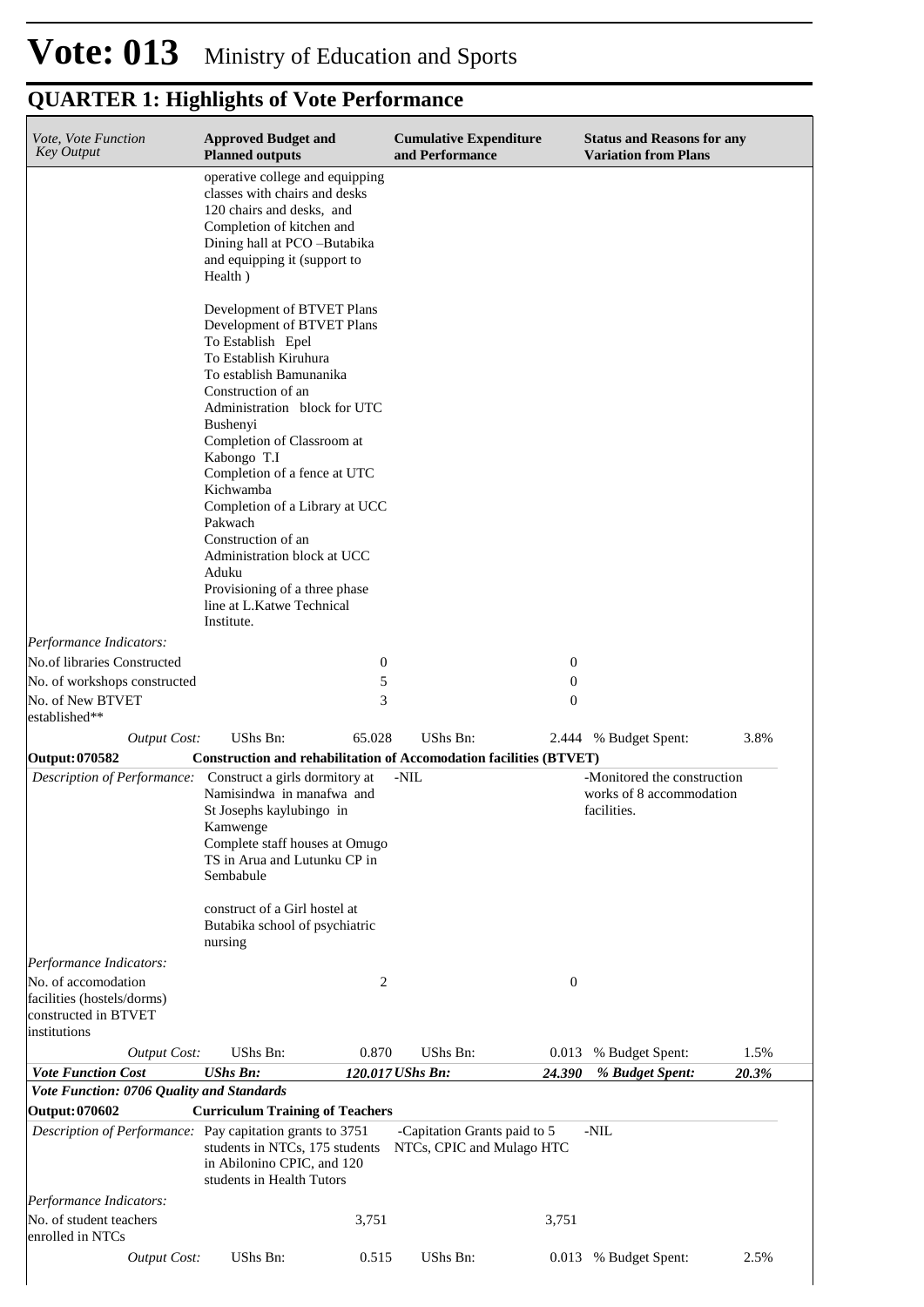| Vote, Vote Function<br><b>Key Output</b>                                                  | <b>Approved Budget and</b><br><b>Planned outputs</b>                                                                                                                                                                                                                                                                                                                                                                                      |                  | <b>Cumulative Expenditure</b><br>and Performance          |                  | <b>Status and Reasons for any</b><br><b>Variation from Plans</b>       |       |
|-------------------------------------------------------------------------------------------|-------------------------------------------------------------------------------------------------------------------------------------------------------------------------------------------------------------------------------------------------------------------------------------------------------------------------------------------------------------------------------------------------------------------------------------------|------------------|-----------------------------------------------------------|------------------|------------------------------------------------------------------------|-------|
|                                                                                           | operative college and equipping<br>classes with chairs and desks<br>120 chairs and desks, and<br>Completion of kitchen and<br>Dining hall at PCO -Butabika<br>and equipping it (support to<br>Health)                                                                                                                                                                                                                                     |                  |                                                           |                  |                                                                        |       |
|                                                                                           | Development of BTVET Plans<br>Development of BTVET Plans<br>To Establish Epel<br>To Establish Kiruhura<br>To establish Bamunanika<br>Construction of an<br>Administration block for UTC<br>Bushenyi<br>Completion of Classroom at<br>Kabongo T.I<br>Completion of a fence at UTC<br>Kichwamba<br>Completion of a Library at UCC<br>Pakwach<br>Construction of an<br>Administration block at UCC<br>Aduku<br>Provisioning of a three phase |                  |                                                           |                  |                                                                        |       |
|                                                                                           | line at L.Katwe Technical<br>Institute.                                                                                                                                                                                                                                                                                                                                                                                                   |                  |                                                           |                  |                                                                        |       |
| Performance Indicators:                                                                   |                                                                                                                                                                                                                                                                                                                                                                                                                                           |                  |                                                           |                  |                                                                        |       |
| No.of libraries Constructed                                                               |                                                                                                                                                                                                                                                                                                                                                                                                                                           | $\boldsymbol{0}$ |                                                           | $\boldsymbol{0}$ |                                                                        |       |
| No. of workshops constructed                                                              |                                                                                                                                                                                                                                                                                                                                                                                                                                           | 5                |                                                           | $\boldsymbol{0}$ |                                                                        |       |
| No. of New BTVET<br>established**                                                         |                                                                                                                                                                                                                                                                                                                                                                                                                                           | 3                |                                                           | $\boldsymbol{0}$ |                                                                        |       |
| <b>Output Cost:</b>                                                                       | UShs Bn:                                                                                                                                                                                                                                                                                                                                                                                                                                  | 65.028           | <b>UShs Bn:</b>                                           | 2.444            | % Budget Spent:                                                        | 3.8%  |
| Output: 070582                                                                            | <b>Construction and rehabilitation of Accomodation facilities (BTVET)</b>                                                                                                                                                                                                                                                                                                                                                                 |                  |                                                           |                  |                                                                        |       |
| Description of Performance: Construct a girls dormitory at                                | Namisindwa in manafwa and<br>St Josephs kaylubingo in<br>Kamwenge<br>Complete staff houses at Omugo<br>TS in Arua and Lutunku CP in<br>Sembabule                                                                                                                                                                                                                                                                                          |                  | -NIL                                                      |                  | -Monitored the construction<br>works of 8 accommodation<br>facilities. |       |
|                                                                                           | construct of a Girl hostel at<br>Butabika school of psychiatric<br>nursing                                                                                                                                                                                                                                                                                                                                                                |                  |                                                           |                  |                                                                        |       |
| Performance Indicators:                                                                   |                                                                                                                                                                                                                                                                                                                                                                                                                                           |                  |                                                           |                  |                                                                        |       |
| No. of accomodation<br>facilities (hostels/dorms)<br>constructed in BTVET<br>institutions |                                                                                                                                                                                                                                                                                                                                                                                                                                           | 2                |                                                           | $\boldsymbol{0}$ |                                                                        |       |
| <b>Output Cost:</b>                                                                       | UShs Bn:                                                                                                                                                                                                                                                                                                                                                                                                                                  | 0.870            | UShs Bn:                                                  | 0.013            | % Budget Spent:                                                        | 1.5%  |
| <b>Vote Function Cost</b>                                                                 | <b>UShs Bn:</b>                                                                                                                                                                                                                                                                                                                                                                                                                           | 120.017 UShs Bn: |                                                           | 24.390           | % Budget Spent:                                                        | 20.3% |
| Vote Function: 0706 Quality and Standards<br>Output: 070602                               |                                                                                                                                                                                                                                                                                                                                                                                                                                           |                  |                                                           |                  |                                                                        |       |
| Description of Performance: Pay capitation grants to 3751                                 | <b>Curriculum Training of Teachers</b><br>students in NTCs, 175 students<br>in Abilonino CPIC, and 120<br>students in Health Tutors                                                                                                                                                                                                                                                                                                       |                  | -Capitation Grants paid to 5<br>NTCs, CPIC and Mulago HTC |                  | -NIL                                                                   |       |
| Performance Indicators:                                                                   |                                                                                                                                                                                                                                                                                                                                                                                                                                           |                  |                                                           |                  |                                                                        |       |
| No. of student teachers<br>enrolled in NTCs                                               |                                                                                                                                                                                                                                                                                                                                                                                                                                           | 3,751            |                                                           | 3,751            |                                                                        |       |
| <b>Output Cost:</b>                                                                       | UShs Bn:                                                                                                                                                                                                                                                                                                                                                                                                                                  | 0.515            | UShs Bn:                                                  |                  | 0.013 % Budget Spent:                                                  | 2.5%  |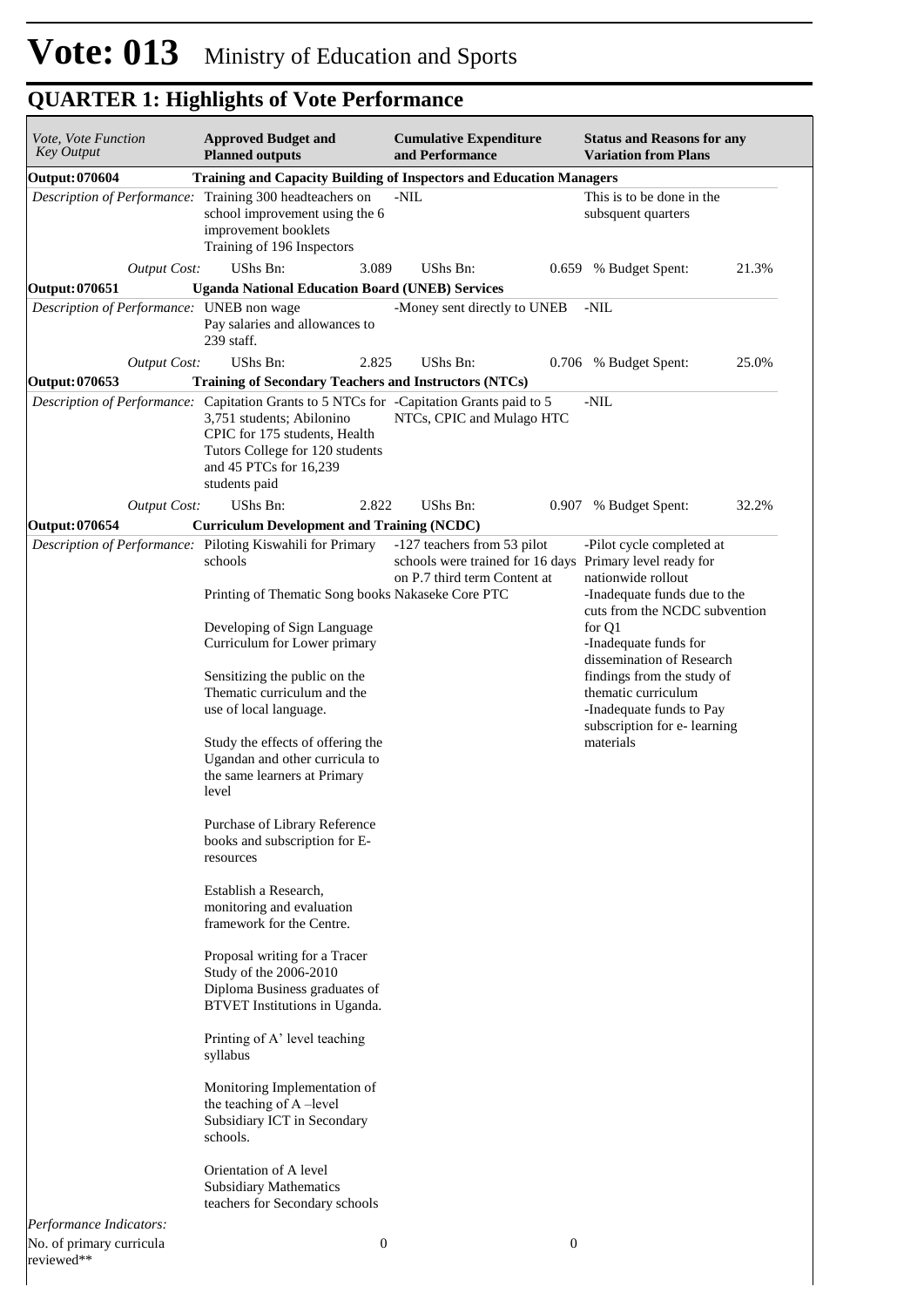| Vote, Vote Function<br>Key Output                           | <b>Approved Budget and</b><br><b>Planned outputs</b>                                                                                                                                                                                                                                | <b>Cumulative Expenditure</b><br>and Performance                                                                        |                  | <b>Status and Reasons for any</b><br><b>Variation from Plans</b>                                                                                                                                                                                                                                  |       |
|-------------------------------------------------------------|-------------------------------------------------------------------------------------------------------------------------------------------------------------------------------------------------------------------------------------------------------------------------------------|-------------------------------------------------------------------------------------------------------------------------|------------------|---------------------------------------------------------------------------------------------------------------------------------------------------------------------------------------------------------------------------------------------------------------------------------------------------|-------|
| <b>Output: 070604</b>                                       | <b>Training and Capacity Building of Inspectors and Education Managers</b>                                                                                                                                                                                                          |                                                                                                                         |                  |                                                                                                                                                                                                                                                                                                   |       |
|                                                             | Description of Performance: Training 300 headteachers on<br>school improvement using the 6<br>improvement booklets<br>Training of 196 Inspectors                                                                                                                                    | -NIL                                                                                                                    |                  | This is to be done in the<br>subsquent quarters                                                                                                                                                                                                                                                   |       |
| <b>Output Cost:</b>                                         | UShs Bn:<br>3.089                                                                                                                                                                                                                                                                   | UShs Bn:                                                                                                                |                  | 0.659 % Budget Spent:                                                                                                                                                                                                                                                                             | 21.3% |
| Output: 070651<br>Description of Performance: UNEB non wage | <b>Uganda National Education Board (UNEB) Services</b><br>Pay salaries and allowances to<br>239 staff.                                                                                                                                                                              | -Money sent directly to UNEB                                                                                            |                  | -NIL                                                                                                                                                                                                                                                                                              |       |
| <b>Output Cost:</b>                                         | UShs Bn:<br>2.825                                                                                                                                                                                                                                                                   | UShs Bn:                                                                                                                |                  | 0.706 % Budget Spent:                                                                                                                                                                                                                                                                             | 25.0% |
| Output: 070653                                              | <b>Training of Secondary Teachers and Instructors (NTCs)</b>                                                                                                                                                                                                                        |                                                                                                                         |                  |                                                                                                                                                                                                                                                                                                   |       |
|                                                             | Description of Performance: Capitation Grants to 5 NTCs for -Capitation Grants paid to 5<br>3,751 students; Abilonino<br>CPIC for 175 students, Health<br>Tutors College for 120 students<br>and 45 PTCs for 16,239<br>students paid                                                | NTCs, CPIC and Mulago HTC                                                                                               |                  | -NIL                                                                                                                                                                                                                                                                                              |       |
| <b>Output Cost:</b>                                         | UShs Bn:<br>2.822                                                                                                                                                                                                                                                                   | UShs Bn:                                                                                                                |                  | 0.907 % Budget Spent:                                                                                                                                                                                                                                                                             | 32.2% |
| <b>Output: 070654</b>                                       | <b>Curriculum Development and Training (NCDC)</b>                                                                                                                                                                                                                                   |                                                                                                                         |                  |                                                                                                                                                                                                                                                                                                   |       |
|                                                             | Description of Performance: Piloting Kiswahili for Primary<br>schools<br>Printing of Thematic Song books Nakaseke Core PTC<br>Developing of Sign Language<br>Curriculum for Lower primary<br>Sensitizing the public on the<br>Thematic curriculum and the<br>use of local language. | -127 teachers from 53 pilot<br>schools were trained for 16 days Primary level ready for<br>on P.7 third term Content at |                  | -Pilot cycle completed at<br>nationwide rollout<br>-Inadequate funds due to the<br>cuts from the NCDC subvention<br>for Q1<br>-Inadequate funds for<br>dissemination of Research<br>findings from the study of<br>thematic curriculum<br>-Inadequate funds to Pay<br>subscription for e- learning |       |
|                                                             | Study the effects of offering the<br>Ugandan and other curricula to<br>the same learners at Primary<br>level                                                                                                                                                                        |                                                                                                                         |                  | materials                                                                                                                                                                                                                                                                                         |       |
|                                                             | Purchase of Library Reference<br>books and subscription for E-<br>resources                                                                                                                                                                                                         |                                                                                                                         |                  |                                                                                                                                                                                                                                                                                                   |       |
|                                                             | Establish a Research,<br>monitoring and evaluation<br>framework for the Centre.                                                                                                                                                                                                     |                                                                                                                         |                  |                                                                                                                                                                                                                                                                                                   |       |
|                                                             | Proposal writing for a Tracer<br>Study of the 2006-2010<br>Diploma Business graduates of<br>BTVET Institutions in Uganda.                                                                                                                                                           |                                                                                                                         |                  |                                                                                                                                                                                                                                                                                                   |       |
|                                                             | Printing of A' level teaching<br>syllabus                                                                                                                                                                                                                                           |                                                                                                                         |                  |                                                                                                                                                                                                                                                                                                   |       |
|                                                             | Monitoring Implementation of<br>the teaching of A-level<br>Subsidiary ICT in Secondary<br>schools.                                                                                                                                                                                  |                                                                                                                         |                  |                                                                                                                                                                                                                                                                                                   |       |
|                                                             | Orientation of A level<br><b>Subsidiary Mathematics</b><br>teachers for Secondary schools                                                                                                                                                                                           |                                                                                                                         |                  |                                                                                                                                                                                                                                                                                                   |       |
| Performance Indicators:                                     |                                                                                                                                                                                                                                                                                     |                                                                                                                         |                  |                                                                                                                                                                                                                                                                                                   |       |
| No. of primary curricula<br>reviewed**                      | $\boldsymbol{0}$                                                                                                                                                                                                                                                                    |                                                                                                                         | $\boldsymbol{0}$ |                                                                                                                                                                                                                                                                                                   |       |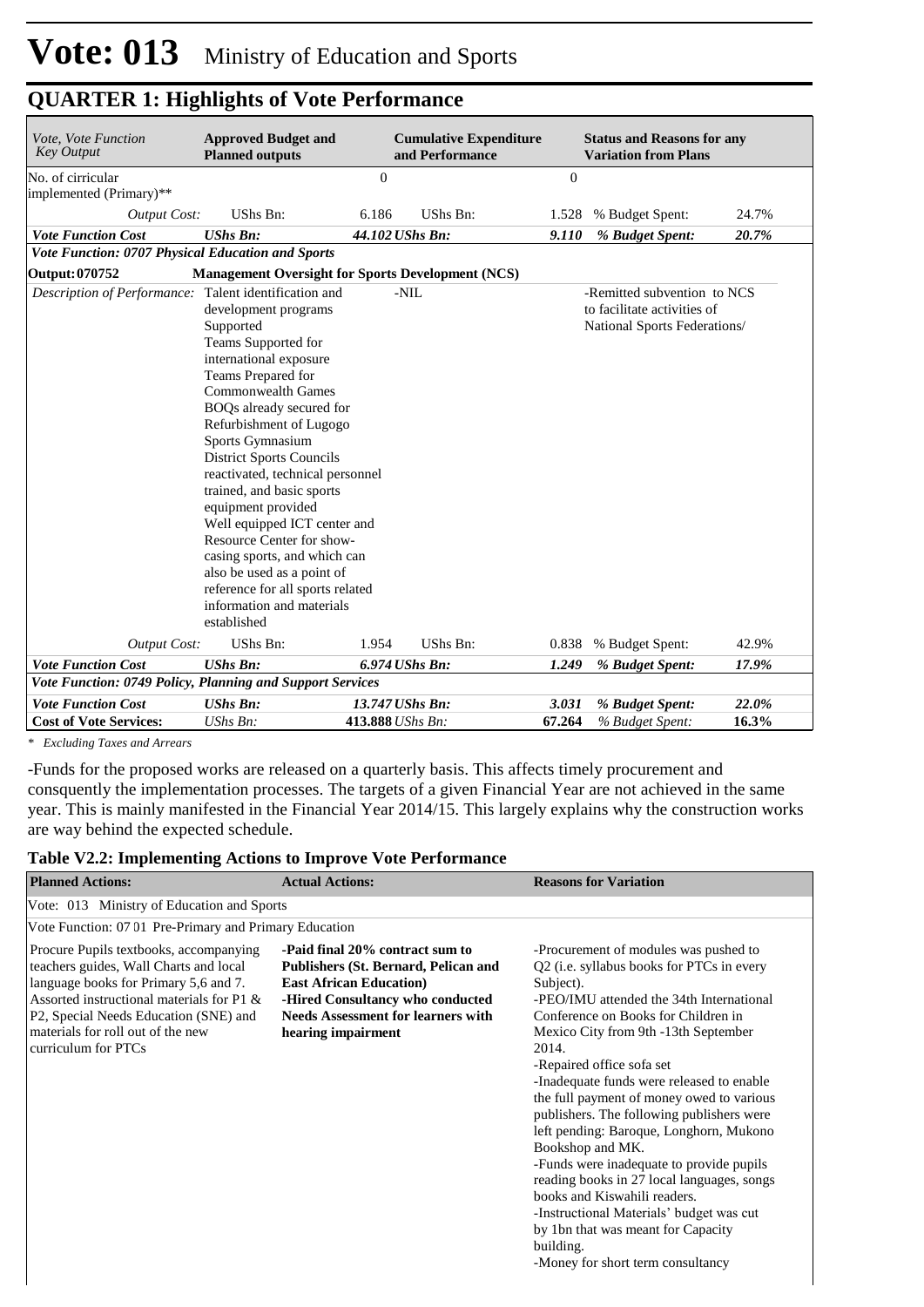| Vote, Vote Function<br><b>Key Output</b>                  | <b>Approved Budget and</b><br><b>Planned outputs</b>                                                                                                                                                                                                                                                                                                                                                                                                                                                                                                                               |                  | <b>Cumulative Expenditure</b><br>and Performance |                | <b>Status and Reasons for any</b><br><b>Variation from Plans</b>                           |       |
|-----------------------------------------------------------|------------------------------------------------------------------------------------------------------------------------------------------------------------------------------------------------------------------------------------------------------------------------------------------------------------------------------------------------------------------------------------------------------------------------------------------------------------------------------------------------------------------------------------------------------------------------------------|------------------|--------------------------------------------------|----------------|--------------------------------------------------------------------------------------------|-------|
| No. of cirricular                                         |                                                                                                                                                                                                                                                                                                                                                                                                                                                                                                                                                                                    | $\overline{0}$   |                                                  | $\overline{0}$ |                                                                                            |       |
| implemented (Primary)**                                   |                                                                                                                                                                                                                                                                                                                                                                                                                                                                                                                                                                                    |                  |                                                  |                |                                                                                            |       |
| <b>Output Cost:</b>                                       | UShs Bn:                                                                                                                                                                                                                                                                                                                                                                                                                                                                                                                                                                           | 6.186            | UShs Bn:                                         | 1.528          | % Budget Spent:                                                                            | 24.7% |
| <b>Vote Function Cost</b>                                 | <b>UShs Bn:</b>                                                                                                                                                                                                                                                                                                                                                                                                                                                                                                                                                                    | 44.102 UShs Bn:  |                                                  | 9.110          | % Budget Spent:                                                                            | 20.7% |
| <b>Vote Function: 0707 Physical Education and Sports</b>  |                                                                                                                                                                                                                                                                                                                                                                                                                                                                                                                                                                                    |                  |                                                  |                |                                                                                            |       |
| Output: 070752                                            | <b>Management Oversight for Sports Development (NCS)</b>                                                                                                                                                                                                                                                                                                                                                                                                                                                                                                                           |                  |                                                  |                |                                                                                            |       |
| <b>Description of Performance:</b>                        | Talent identification and<br>development programs<br>Supported<br>Teams Supported for<br>international exposure<br>Teams Prepared for<br><b>Commonwealth Games</b><br>BOQs already secured for<br>Refurbishment of Lugogo<br>Sports Gymnasium<br><b>District Sports Councils</b><br>reactivated, technical personnel<br>trained, and basic sports<br>equipment provided<br>Well equipped ICT center and<br>Resource Center for show-<br>casing sports, and which can<br>also be used as a point of<br>reference for all sports related<br>information and materials<br>established |                  | $-NIL$                                           |                | -Remitted subvention to NCS<br>to facilitate activities of<br>National Sports Federations/ |       |
| Output Cost:                                              | UShs Bn:                                                                                                                                                                                                                                                                                                                                                                                                                                                                                                                                                                           | 1.954            | UShs Bn:                                         | 0.838          | % Budget Spent:                                                                            | 42.9% |
| <b>Vote Function Cost</b>                                 | <b>UShs Bn:</b>                                                                                                                                                                                                                                                                                                                                                                                                                                                                                                                                                                    |                  | 6.974 UShs Bn:                                   | 1.249          | % Budget Spent:                                                                            | 17.9% |
| Vote Function: 0749 Policy, Planning and Support Services |                                                                                                                                                                                                                                                                                                                                                                                                                                                                                                                                                                                    |                  |                                                  |                |                                                                                            |       |
| <b>Vote Function Cost</b>                                 | <b>UShs Bn:</b>                                                                                                                                                                                                                                                                                                                                                                                                                                                                                                                                                                    | 13.747 UShs Bn:  |                                                  | 3.031          | % Budget Spent:                                                                            | 22.0% |
| <b>Cost of Vote Services:</b>                             | $UShs Bn$ :                                                                                                                                                                                                                                                                                                                                                                                                                                                                                                                                                                        | 413.888 UShs Bn: |                                                  | 67.264         | % Budget Spent:                                                                            | 16.3% |

*\* Excluding Taxes and Arrears*

-Funds for the proposed works are released on a quarterly basis. This affects timely procurement and consquently the implementation processes. The targets of a given Financial Year are not achieved in the same year. This is mainly manifested in the Financial Year 2014/15. This largely explains why the construction works are way behind the expected schedule.

| Table V2.2: Implementing Actions to Improve Vote Performance |  |  |  |  |  |  |  |
|--------------------------------------------------------------|--|--|--|--|--|--|--|
|--------------------------------------------------------------|--|--|--|--|--|--|--|

| <b>Planned Actions:</b>                                                                                                                                                                                                                                                     | <b>Actual Actions:</b>                                                                                                                                                                                            | <b>Reasons for Variation</b>                                                                                                                                                                                                                                                                                                                                                                                                                                                                                                                                                                                                                                                                                                         |
|-----------------------------------------------------------------------------------------------------------------------------------------------------------------------------------------------------------------------------------------------------------------------------|-------------------------------------------------------------------------------------------------------------------------------------------------------------------------------------------------------------------|--------------------------------------------------------------------------------------------------------------------------------------------------------------------------------------------------------------------------------------------------------------------------------------------------------------------------------------------------------------------------------------------------------------------------------------------------------------------------------------------------------------------------------------------------------------------------------------------------------------------------------------------------------------------------------------------------------------------------------------|
| Vote: 013 Ministry of Education and Sports                                                                                                                                                                                                                                  |                                                                                                                                                                                                                   |                                                                                                                                                                                                                                                                                                                                                                                                                                                                                                                                                                                                                                                                                                                                      |
| Vote Function: 07 01 Pre-Primary and Primary Education                                                                                                                                                                                                                      |                                                                                                                                                                                                                   |                                                                                                                                                                                                                                                                                                                                                                                                                                                                                                                                                                                                                                                                                                                                      |
| Procure Pupils textbooks, accompanying<br>teachers guides, Wall Charts and local<br>language books for Primary 5,6 and 7.<br>Assorted instructional materials for P1 &<br>P2, Special Needs Education (SNE) and<br>materials for roll out of the new<br>curriculum for PTCs | -Paid final 20% contract sum to<br>Publishers (St. Bernard, Pelican and<br><b>East African Education</b> )<br>-Hired Consultancy who conducted<br><b>Needs Assessment for learners with</b><br>hearing impairment | -Procurement of modules was pushed to<br>Q2 (i.e. syllabus books for PTCs in every<br>Subject).<br>-PEO/IMU attended the 34th International<br>Conference on Books for Children in<br>Mexico City from 9th -13th September<br>2014.<br>-Repaired office sofa set<br>-Inadequate funds were released to enable<br>the full payment of money owed to various<br>publishers. The following publishers were<br>left pending: Baroque, Longhorn, Mukono<br>Bookshop and MK.<br>-Funds were inadequate to provide pupils<br>reading books in 27 local languages, songs<br>books and Kiswahili readers.<br>-Instructional Materials' budget was cut<br>by 1bn that was meant for Capacity<br>building.<br>-Money for short term consultancy |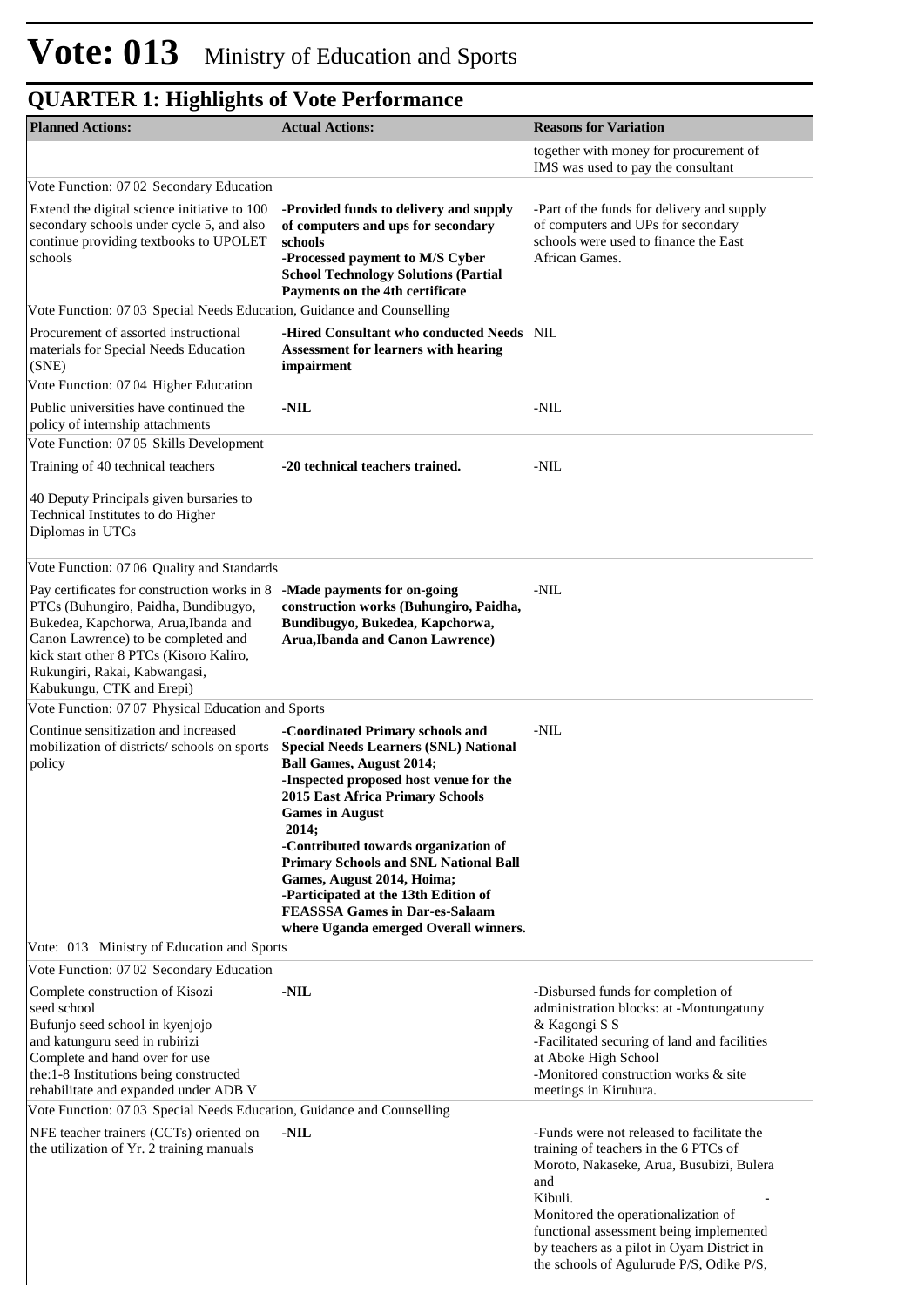| <b>Planned Actions:</b>                                                                                                                                                                                                                                                              | <b>Actual Actions:</b>                                                                                                                                                                                                                                                                                                                                                                                                                                                                      | <b>Reasons for Variation</b>                                                                                                                                                                                                                                                                                                  |
|--------------------------------------------------------------------------------------------------------------------------------------------------------------------------------------------------------------------------------------------------------------------------------------|---------------------------------------------------------------------------------------------------------------------------------------------------------------------------------------------------------------------------------------------------------------------------------------------------------------------------------------------------------------------------------------------------------------------------------------------------------------------------------------------|-------------------------------------------------------------------------------------------------------------------------------------------------------------------------------------------------------------------------------------------------------------------------------------------------------------------------------|
|                                                                                                                                                                                                                                                                                      |                                                                                                                                                                                                                                                                                                                                                                                                                                                                                             | together with money for procurement of<br>IMS was used to pay the consultant                                                                                                                                                                                                                                                  |
| Vote Function: 07 02 Secondary Education                                                                                                                                                                                                                                             |                                                                                                                                                                                                                                                                                                                                                                                                                                                                                             |                                                                                                                                                                                                                                                                                                                               |
| Extend the digital science initiative to 100<br>secondary schools under cycle 5, and also<br>continue providing textbooks to UPOLET<br>schools                                                                                                                                       | -Provided funds to delivery and supply<br>of computers and ups for secondary<br>schools<br>-Processed payment to M/S Cyber<br><b>School Technology Solutions (Partial</b><br>Payments on the 4th certificate                                                                                                                                                                                                                                                                                | -Part of the funds for delivery and supply<br>of computers and UPs for secondary<br>schools were used to finance the East<br>African Games.                                                                                                                                                                                   |
| Vote Function: 07 03 Special Needs Education, Guidance and Counselling                                                                                                                                                                                                               |                                                                                                                                                                                                                                                                                                                                                                                                                                                                                             |                                                                                                                                                                                                                                                                                                                               |
| Procurement of assorted instructional<br>materials for Special Needs Education<br>(SNE)                                                                                                                                                                                              | -Hired Consultant who conducted Needs NIL<br><b>Assessment for learners with hearing</b><br>impairment                                                                                                                                                                                                                                                                                                                                                                                      |                                                                                                                                                                                                                                                                                                                               |
| Vote Function: 07 04 Higher Education                                                                                                                                                                                                                                                |                                                                                                                                                                                                                                                                                                                                                                                                                                                                                             |                                                                                                                                                                                                                                                                                                                               |
| Public universities have continued the<br>policy of internship attachments                                                                                                                                                                                                           | $-NIL$                                                                                                                                                                                                                                                                                                                                                                                                                                                                                      | -NIL                                                                                                                                                                                                                                                                                                                          |
| Vote Function: 07 05 Skills Development                                                                                                                                                                                                                                              |                                                                                                                                                                                                                                                                                                                                                                                                                                                                                             |                                                                                                                                                                                                                                                                                                                               |
| Training of 40 technical teachers                                                                                                                                                                                                                                                    | -20 technical teachers trained.                                                                                                                                                                                                                                                                                                                                                                                                                                                             | -NIL                                                                                                                                                                                                                                                                                                                          |
| 40 Deputy Principals given bursaries to<br>Technical Institutes to do Higher<br>Diplomas in UTCs                                                                                                                                                                                     |                                                                                                                                                                                                                                                                                                                                                                                                                                                                                             |                                                                                                                                                                                                                                                                                                                               |
| Vote Function: 07 06 Quality and Standards                                                                                                                                                                                                                                           |                                                                                                                                                                                                                                                                                                                                                                                                                                                                                             |                                                                                                                                                                                                                                                                                                                               |
| Pay certificates for construction works in 8<br>PTCs (Buhungiro, Paidha, Bundibugyo,<br>Bukedea, Kapchorwa, Arua, Ibanda and<br>Canon Lawrence) to be completed and<br>kick start other 8 PTCs (Kisoro Kaliro,<br>Rukungiri, Rakai, Kabwangasi,<br>Kabukungu, CTK and Erepi)         | -Made payments for on-going<br>construction works (Buhungiro, Paidha,<br>Bundibugyo, Bukedea, Kapchorwa,<br><b>Arua, Ibanda and Canon Lawrence</b> )                                                                                                                                                                                                                                                                                                                                        | -NIL                                                                                                                                                                                                                                                                                                                          |
| Vote Function: 07 07 Physical Education and Sports                                                                                                                                                                                                                                   |                                                                                                                                                                                                                                                                                                                                                                                                                                                                                             |                                                                                                                                                                                                                                                                                                                               |
| Continue sensitization and increased<br>mobilization of districts/schools on sports<br>policy<br>Vote: 013 Ministry of Education and Sports                                                                                                                                          | -Coordinated Primary schools and<br><b>Special Needs Learners (SNL) National</b><br><b>Ball Games, August 2014;</b><br>-Inspected proposed host venue for the<br><b>2015 East Africa Primary Schools</b><br><b>Games in August</b><br>2014;<br>-Contributed towards organization of<br><b>Primary Schools and SNL National Ball</b><br>Games, August 2014, Hoima;<br>-Participated at the 13th Edition of<br><b>FEASSSA Games in Dar-es-Salaam</b><br>where Uganda emerged Overall winners. | -NIL                                                                                                                                                                                                                                                                                                                          |
|                                                                                                                                                                                                                                                                                      |                                                                                                                                                                                                                                                                                                                                                                                                                                                                                             |                                                                                                                                                                                                                                                                                                                               |
| Vote Function: 07 02 Secondary Education<br>Complete construction of Kisozi<br>seed school<br>Bufunjo seed school in kyenjojo<br>and katunguru seed in rubirizi<br>Complete and hand over for use<br>the:1-8 Institutions being constructed<br>rehabilitate and expanded under ADB V | $-NIL$                                                                                                                                                                                                                                                                                                                                                                                                                                                                                      | -Disbursed funds for completion of<br>administration blocks: at -Montungatuny<br>& Kagongi S S<br>-Facilitated securing of land and facilities<br>at Aboke High School<br>-Monitored construction works & site<br>meetings in Kiruhura.                                                                                       |
| Vote Function: 07 03 Special Needs Education, Guidance and Counselling                                                                                                                                                                                                               |                                                                                                                                                                                                                                                                                                                                                                                                                                                                                             |                                                                                                                                                                                                                                                                                                                               |
| NFE teacher trainers (CCTs) oriented on<br>the utilization of Yr. 2 training manuals                                                                                                                                                                                                 | $-NIL$                                                                                                                                                                                                                                                                                                                                                                                                                                                                                      | -Funds were not released to facilitate the<br>training of teachers in the 6 PTCs of<br>Moroto, Nakaseke, Arua, Busubizi, Bulera<br>and<br>Kibuli.<br>Monitored the operationalization of<br>functional assessment being implemented<br>by teachers as a pilot in Oyam District in<br>the schools of Agulurude P/S, Odike P/S, |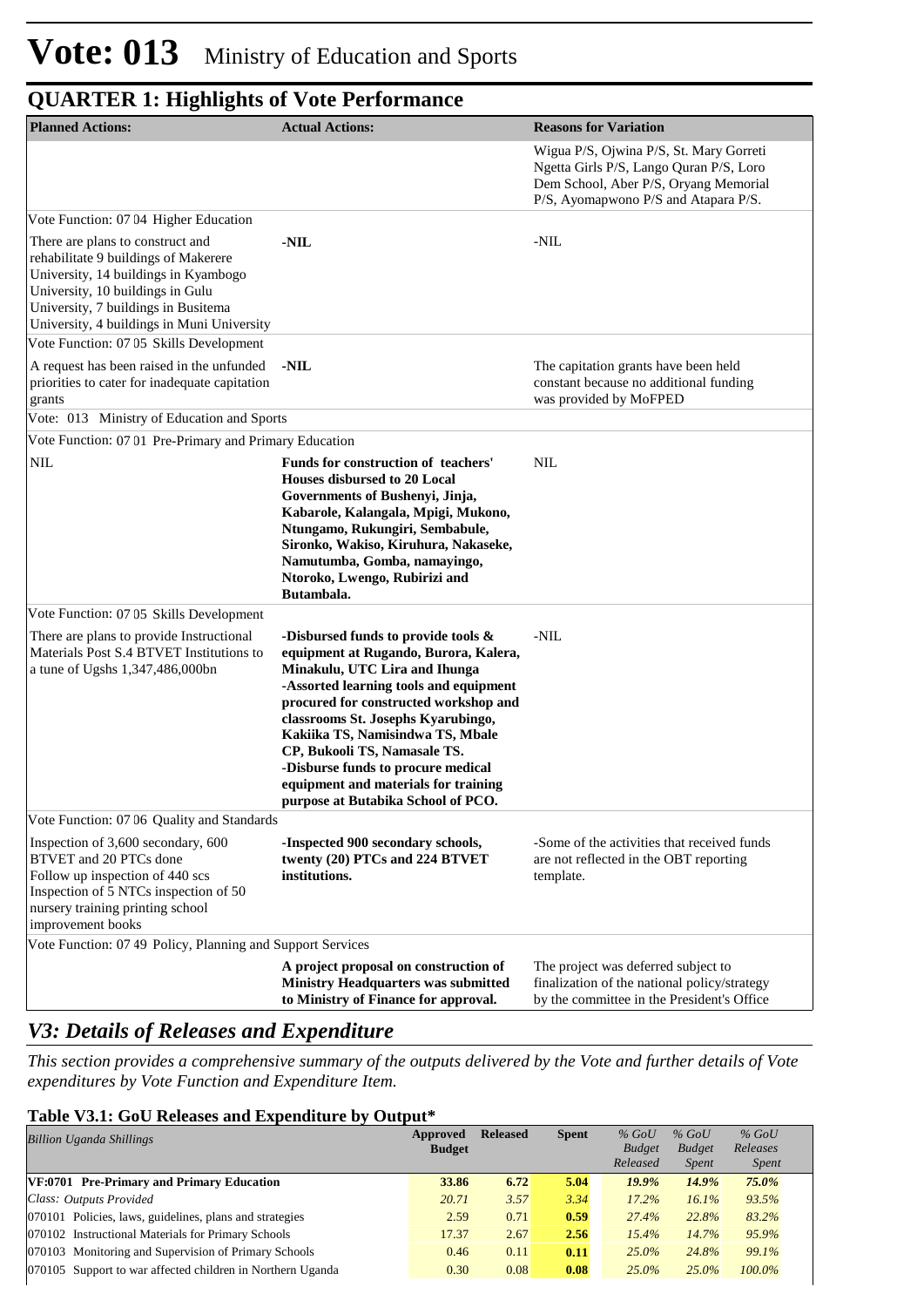| <b>Planned Actions:</b>                                                                                                                                                                                                                   | <b>Actual Actions:</b>                                                                                                                                                                                                                                                                                                                                                                                                            | <b>Reasons for Variation</b>                                                                                                                                        |
|-------------------------------------------------------------------------------------------------------------------------------------------------------------------------------------------------------------------------------------------|-----------------------------------------------------------------------------------------------------------------------------------------------------------------------------------------------------------------------------------------------------------------------------------------------------------------------------------------------------------------------------------------------------------------------------------|---------------------------------------------------------------------------------------------------------------------------------------------------------------------|
|                                                                                                                                                                                                                                           |                                                                                                                                                                                                                                                                                                                                                                                                                                   | Wigua P/S, Ojwina P/S, St. Mary Gorreti<br>Ngetta Girls P/S, Lango Quran P/S, Loro<br>Dem School, Aber P/S, Oryang Memorial<br>P/S, Ayomapwono P/S and Atapara P/S. |
| Vote Function: 07 04 Higher Education                                                                                                                                                                                                     |                                                                                                                                                                                                                                                                                                                                                                                                                                   |                                                                                                                                                                     |
| There are plans to construct and<br>rehabilitate 9 buildings of Makerere<br>University, 14 buildings in Kyambogo<br>University, 10 buildings in Gulu<br>University, 7 buildings in Busitema<br>University, 4 buildings in Muni University | -NIL                                                                                                                                                                                                                                                                                                                                                                                                                              | -NIL                                                                                                                                                                |
| Vote Function: 07 05 Skills Development                                                                                                                                                                                                   |                                                                                                                                                                                                                                                                                                                                                                                                                                   |                                                                                                                                                                     |
| A request has been raised in the unfunded<br>priorities to cater for inadequate capitation<br>grants                                                                                                                                      | -NIL                                                                                                                                                                                                                                                                                                                                                                                                                              | The capitation grants have been held<br>constant because no additional funding<br>was provided by MoFPED                                                            |
| Vote: 013 Ministry of Education and Sports                                                                                                                                                                                                |                                                                                                                                                                                                                                                                                                                                                                                                                                   |                                                                                                                                                                     |
| Vote Function: 0701 Pre-Primary and Primary Education                                                                                                                                                                                     |                                                                                                                                                                                                                                                                                                                                                                                                                                   |                                                                                                                                                                     |
| <b>NIL</b>                                                                                                                                                                                                                                | Funds for construction of teachers'<br>Houses disbursed to 20 Local<br>Governments of Bushenyi, Jinja,<br>Kabarole, Kalangala, Mpigi, Mukono,<br>Ntungamo, Rukungiri, Sembabule,<br>Sironko, Wakiso, Kiruhura, Nakaseke,<br>Namutumba, Gomba, namayingo,<br>Ntoroko, Lwengo, Rubirizi and<br>Butambala.                                                                                                                           | <b>NIL</b>                                                                                                                                                          |
| Vote Function: 07 05 Skills Development                                                                                                                                                                                                   |                                                                                                                                                                                                                                                                                                                                                                                                                                   |                                                                                                                                                                     |
| There are plans to provide Instructional<br>Materials Post S.4 BTVET Institutions to<br>a tune of Ugshs 1,347,486,000bn                                                                                                                   | -Disbursed funds to provide tools $\&$<br>equipment at Rugando, Burora, Kalera,<br>Minakulu, UTC Lira and Ihunga<br>-Assorted learning tools and equipment<br>procured for constructed workshop and<br>classrooms St. Josephs Kyarubingo,<br>Kakiika TS, Namisindwa TS, Mbale<br>CP, Bukooli TS, Namasale TS.<br>-Disburse funds to procure medical<br>equipment and materials for training<br>purpose at Butabika School of PCO. | -NIL                                                                                                                                                                |
| Vote Function: 07 06 Quality and Standards                                                                                                                                                                                                |                                                                                                                                                                                                                                                                                                                                                                                                                                   |                                                                                                                                                                     |
| Inspection of 3,600 secondary, 600<br>BTVET and 20 PTCs done<br>Follow up inspection of 440 scs<br>Inspection of 5 NTCs inspection of 50<br>nursery training printing school<br>improvement books                                         | -Inspected 900 secondary schools,<br>twenty (20) PTCs and 224 BTVET<br>institutions.                                                                                                                                                                                                                                                                                                                                              | -Some of the activities that received funds<br>are not reflected in the OBT reporting<br>template.                                                                  |
| Vote Function: 07 49 Policy, Planning and Support Services                                                                                                                                                                                |                                                                                                                                                                                                                                                                                                                                                                                                                                   |                                                                                                                                                                     |
|                                                                                                                                                                                                                                           | A project proposal on construction of<br><b>Ministry Headquarters was submitted</b><br>to Ministry of Finance for approval.                                                                                                                                                                                                                                                                                                       | The project was deferred subject to<br>finalization of the national policy/strategy<br>by the committee in the President's Office                                   |

### *V3: Details of Releases and Expenditure*

*This section provides a comprehensive summary of the outputs delivered by the Vote and further details of Vote expenditures by Vote Function and Expenditure Item.*

#### **Table V3.1: GoU Releases and Expenditure by Output\***

| <b>Billion Uganda Shillings</b>                            | Approved<br><b>Budget</b> | <b>Released</b> | <b>Spent</b> | $%$ GoU<br><b>Budget</b> | $%$ GoU<br><b>Budget</b> | $%$ GoU<br>Releases |
|------------------------------------------------------------|---------------------------|-----------------|--------------|--------------------------|--------------------------|---------------------|
|                                                            |                           |                 |              | Released                 | <i>Spent</i>             | <i>Spent</i>        |
| VF:0701 Pre-Primary and Primary Education                  | 33.86                     | 6.72            | 5.04         | $19.9\%$                 | 14.9%                    | $75.0\%$            |
| Class: Outputs Provided                                    | 20.71                     | 3.57            | 3.34         | $17.2\%$                 | 16.1%                    | 93.5%               |
| 070101 Policies, laws, guidelines, plans and strategies    | 2.59                      | 0.71            | 0.59         | 27.4%                    | 22.8%                    | 83.2%               |
| 070102 Instructional Materials for Primary Schools         | 17.37                     | 2.67            | 2.56         | 15.4%                    | 14.7%                    | 95.9%               |
| 070103 Monitoring and Supervision of Primary Schools       | 0.46                      | 0.11            | 0.11         | $25.0\%$                 | 24.8%                    | 99.1%               |
| 070105 Support to war affected children in Northern Uganda | 0.30                      | 0.08            | 0.08         | $25.0\%$                 | $25.0\%$                 | $100.0\%$           |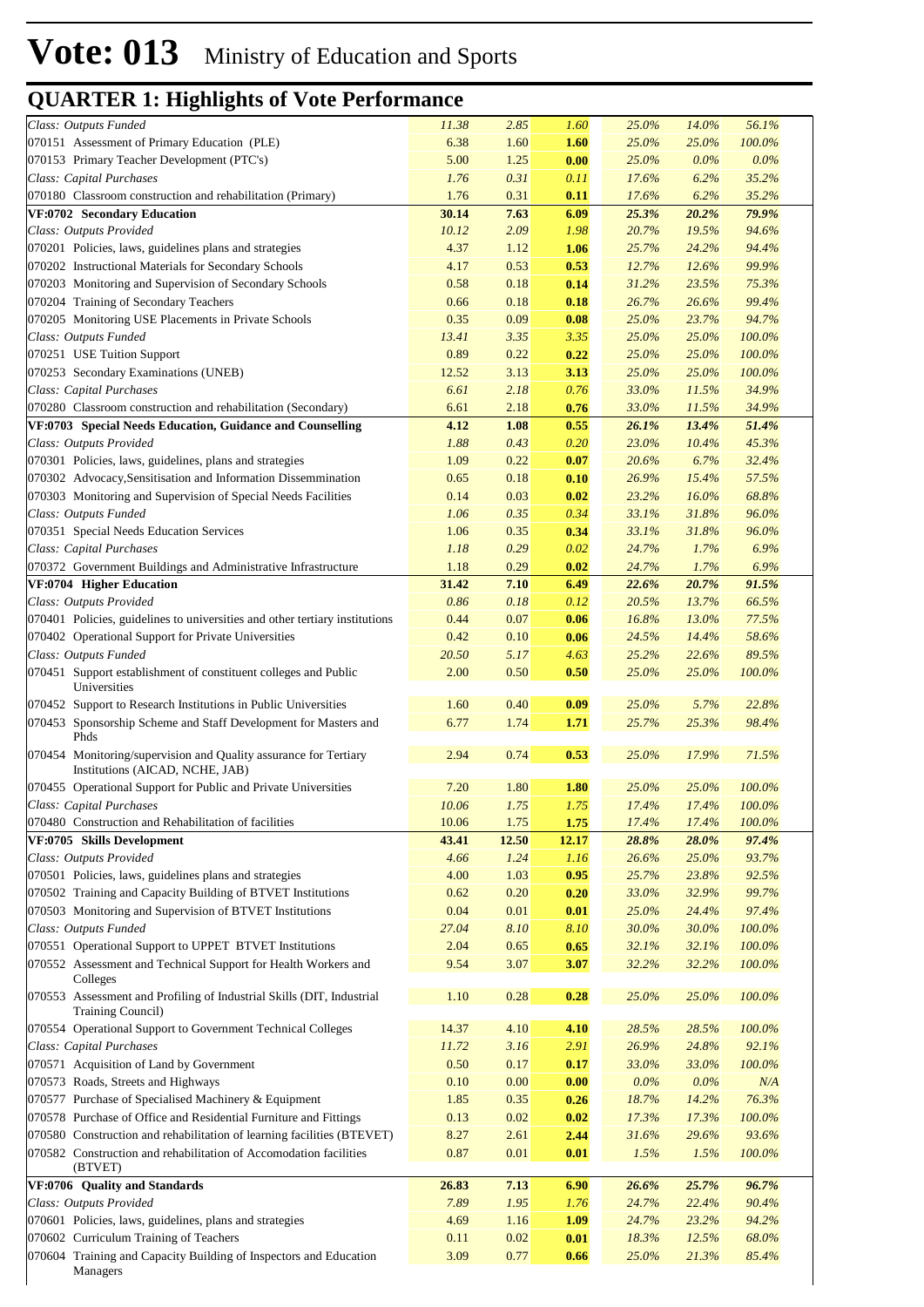| Class: Outputs Funded                                                                                                                       | 11.38        | 2.85         | 1.60         | 25.0%          | 14.0%          | 56.1%           |
|---------------------------------------------------------------------------------------------------------------------------------------------|--------------|--------------|--------------|----------------|----------------|-----------------|
| 070151 Assessment of Primary Education (PLE)                                                                                                | 6.38         | 1.60         | 1.60         | 25.0%          | 25.0%          | 100.0%          |
| 070153 Primary Teacher Development (PTC's)                                                                                                  | 5.00         | 1.25         | 0.00         | 25.0%          | $0.0\%$        | 0.0%            |
| Class: Capital Purchases                                                                                                                    | 1.76         | 0.31         | 0.11         | 17.6%          | 6.2%           | 35.2%           |
| 070180 Classroom construction and rehabilitation (Primary)                                                                                  | 1.76         | 0.31         | 0.11         | 17.6%          | 6.2%           | 35.2%           |
| VF:0702 Secondary Education                                                                                                                 | 30.14        | 7.63         | 6.09         | 25.3%          | 20.2%          | 79.9%           |
| Class: Outputs Provided                                                                                                                     | 10.12        | 2.09         | 1.98         | 20.7%          | 19.5%          | 94.6%           |
| 070201 Policies, laws, guidelines plans and strategies                                                                                      | 4.37         | 1.12         | 1.06         | 25.7%          | 24.2%          | 94.4%           |
|                                                                                                                                             |              |              |              |                |                |                 |
| 070202 Instructional Materials for Secondary Schools                                                                                        | 4.17         | 0.53         | 0.53         | 12.7%          | 12.6%          | 99.9%           |
| 070203 Monitoring and Supervision of Secondary Schools                                                                                      | 0.58         | 0.18         | 0.14         | 31.2%          | 23.5%          | 75.3%           |
| 070204 Training of Secondary Teachers                                                                                                       | 0.66         | 0.18         | 0.18         | 26.7%          | 26.6%          | 99.4%           |
| 070205 Monitoring USE Placements in Private Schools                                                                                         | 0.35         | 0.09         | 0.08         | 25.0%          | 23.7%          | 94.7%           |
| Class: Outputs Funded                                                                                                                       | 13.41        | 3.35         | 3.35         | 25.0%          | 25.0%          | 100.0%          |
| 070251 USE Tuition Support                                                                                                                  | 0.89         | 0.22         | 0.22         | 25.0%          | 25.0%          | 100.0%          |
| 070253 Secondary Examinations (UNEB)                                                                                                        | 12.52        | 3.13         | 3.13         | 25.0%          | 25.0%          | 100.0%          |
| Class: Capital Purchases                                                                                                                    | 6.61         | 2.18         | 0.76         | 33.0%          | 11.5%          | 34.9%           |
| 070280 Classroom construction and rehabilitation (Secondary)                                                                                | 6.61         | 2.18         | 0.76         | 33.0%          | 11.5%          | 34.9%           |
| VF:0703 Special Needs Education, Guidance and Counselling                                                                                   | 4.12         | 1.08         | 0.55         | 26.1%          | 13.4%          | 51.4%           |
| Class: Outputs Provided                                                                                                                     | 1.88         | 0.43         | 0.20         | 23.0%          | 10.4%          | 45.3%           |
| 070301 Policies, laws, guidelines, plans and strategies                                                                                     | 1.09         | 0.22         | 0.07         | 20.6%          | 6.7%           | 32.4%           |
| 070302 Advocacy, Sensitisation and Information Dissemmination                                                                               | 0.65         | 0.18         | 0.10         | 26.9%          | 15.4%          | 57.5%           |
| 070303 Monitoring and Supervision of Special Needs Facilities                                                                               | 0.14         | 0.03         | 0.02         | 23.2%          | $16.0\%$       | 68.8%           |
| Class: Outputs Funded                                                                                                                       | 1.06         | 0.35         | 0.34         | 33.1%          | 31.8%          | 96.0%           |
|                                                                                                                                             |              |              |              |                |                | 96.0%           |
| 070351 Special Needs Education Services                                                                                                     | 1.06         | 0.35         | 0.34         | 33.1%          | 31.8%          |                 |
| Class: Capital Purchases                                                                                                                    | 1.18         | 0.29         | 0.02         | 24.7%          | 1.7%           | 6.9%            |
| 070372 Government Buildings and Administrative Infrastructure                                                                               | 1.18         | 0.29         | 0.02         | 24.7%          | 1.7%           | 6.9%            |
| VF:0704 Higher Education                                                                                                                    | 31.42        | 7.10         | 6.49         | 22.6%          | 20.7%          | 91.5%           |
| Class: Outputs Provided                                                                                                                     | 0.86         | 0.18         | 0.12         | 20.5%          | 13.7%          | 66.5%           |
| 070401 Policies, guidelines to universities and other tertiary institutions                                                                 | 0.44         | 0.07         | 0.06         | 16.8%          | 13.0%          | 77.5%           |
| 070402 Operational Support for Private Universities                                                                                         | 0.42         | 0.10         | 0.06         | 24.5%          | 14.4%          | 58.6%           |
| Class: Outputs Funded                                                                                                                       | 20.50        | 5.17         | 4.63         | 25.2%          | 22.6%          | 89.5%           |
| 070451 Support establishment of constituent colleges and Public<br>Universities                                                             | 2.00         | 0.50         | 0.50         | 25.0%          | 25.0%          | 100.0%          |
| 070452 Support to Research Institutions in Public Universities                                                                              | 1.60         | 0.40         | 0.09         | 25.0%          | 5.7%           | 22.8%           |
| 070453 Sponsorship Scheme and Staff Development for Masters and<br>Phds                                                                     | 6.77         | 1.74         | 1.71         | 25.7%          | 25.3%          | 98.4%           |
| 070454 Monitoring/supervision and Quality assurance for Tertiary<br>Institutions (AICAD, NCHE, JAB)                                         | 2.94         | 0.74         | 0.53         | 25.0%          | 17.9%          | 71.5%           |
| 070455 Operational Support for Public and Private Universities                                                                              | 7.20         | 1.80         | 1.80         | 25.0%          | 25.0%          | 100.0%          |
| Class: Capital Purchases                                                                                                                    | 10.06        | 1.75         | 1.75         | 17.4%          | 17.4%          | 100.0%          |
| 070480 Construction and Rehabilitation of facilities                                                                                        | 10.06        | 1.75         | 1.75         | 17.4%          | 17.4%          | $100.0\%$       |
|                                                                                                                                             |              |              |              |                |                |                 |
|                                                                                                                                             |              |              |              |                |                |                 |
| VF:0705 Skills Development                                                                                                                  | 43.41        | 12.50        | 12.17        | 28.8%          | 28.0%          | 97.4%           |
| Class: Outputs Provided                                                                                                                     | 4.66         | 1.24         | 1.16         | 26.6%          | 25.0%          | 93.7%           |
| 070501 Policies, laws, guidelines plans and strategies                                                                                      | 4.00         | 1.03         | 0.95         | 25.7%          | 23.8%          | 92.5%           |
| 070502 Training and Capacity Building of BTVET Institutions                                                                                 | 0.62         | 0.20         | 0.20         | 33.0%          | 32.9%          | 99.7%           |
| 070503 Monitoring and Supervision of BTVET Institutions                                                                                     | 0.04         | 0.01         | 0.01         | 25.0%          | 24.4%          | 97.4%           |
| Class: Outputs Funded                                                                                                                       | 27.04        | 8.10         | 8.10         | 30.0%          | 30.0%          | 100.0%          |
| 070551 Operational Support to UPPET BTVET Institutions                                                                                      | 2.04         | 0.65         | 0.65         | 32.1%          | 32.1%          | $100.0\%$       |
| 070552 Assessment and Technical Support for Health Workers and<br>Colleges                                                                  | 9.54         | 3.07         | 3.07         | 32.2%          | 32.2%          | 100.0%          |
| 070553 Assessment and Profiling of Industrial Skills (DIT, Industrial<br>Training Council)                                                  | 1.10         | 0.28         | 0.28         | 25.0%          | 25.0%          | 100.0%          |
| 070554 Operational Support to Government Technical Colleges                                                                                 | 14.37        | 4.10         | 4.10         | 28.5%          | 28.5%          | 100.0%          |
| Class: Capital Purchases                                                                                                                    | 11.72        | 3.16         | 2.91         | 26.9%          | 24.8%          | 92.1%           |
| 070571 Acquisition of Land by Government                                                                                                    | 0.50         | 0.17         | 0.17         | 33.0%          | 33.0%          | 100.0%          |
| 070573 Roads, Streets and Highways                                                                                                          | 0.10         | 0.00         | 0.00         | $0.0\%$        | $0.0\%$        | N/A             |
|                                                                                                                                             | 1.85         | 0.35         | 0.26         | 18.7%          | 14.2%          | 76.3%           |
| 070577 Purchase of Specialised Machinery & Equipment                                                                                        |              |              |              |                |                |                 |
| 070578 Purchase of Office and Residential Furniture and Fittings                                                                            | 0.13         | 0.02         | 0.02         | 17.3%          | 17.3%          | 100.0%          |
| 070580 Construction and rehabilitation of learning facilities (BTEVET)<br>070582 Construction and rehabilitation of Accomodation facilities | 8.27<br>0.87 | 2.61<br>0.01 | 2.44<br>0.01 | 31.6%<br>1.5%  | 29.6%<br>1.5%  | 93.6%<br>100.0% |
| (BTVET)                                                                                                                                     |              |              |              |                |                |                 |
| VF:0706 Quality and Standards                                                                                                               | 26.83        | 7.13         | 6.90         | 26.6%          | 25.7%          | 96.7%           |
| Class: Outputs Provided                                                                                                                     | 7.89         | 1.95         | 1.76         | 24.7%          | 22.4%          | 90.4%           |
| 070601 Policies, laws, guidelines, plans and strategies                                                                                     | 4.69         | 1.16         | 1.09         | 24.7%          | 23.2%          | 94.2%           |
| 070602 Curriculum Training of Teachers<br>070604 Training and Capacity Building of Inspectors and Education                                 | 0.11<br>3.09 | 0.02<br>0.77 | 0.01<br>0.66 | 18.3%<br>25.0% | 12.5%<br>21.3% | 68.0%<br>85.4%  |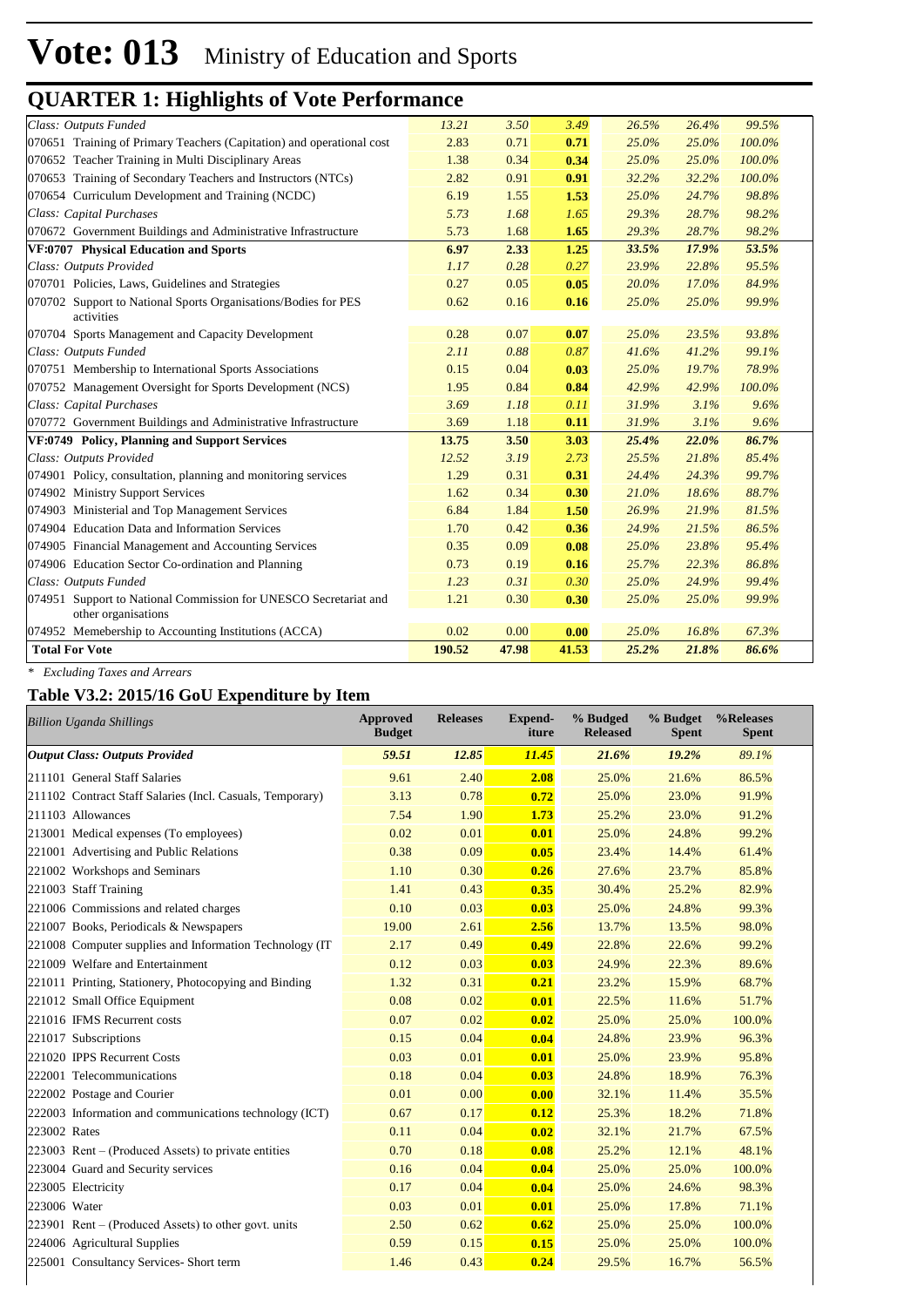| Class: Outputs Funded                                                                   | 13.21  | 3.50  | 3.49  | 26.5% | 26.4% | 99.5%  |
|-----------------------------------------------------------------------------------------|--------|-------|-------|-------|-------|--------|
| 070651 Training of Primary Teachers (Capitation) and operational cost                   | 2.83   | 0.71  | 0.71  | 25.0% | 25.0% | 100.0% |
| 070652 Teacher Training in Multi Disciplinary Areas                                     | 1.38   | 0.34  | 0.34  | 25.0% | 25.0% | 100.0% |
| 070653 Training of Secondary Teachers and Instructors (NTCs)                            | 2.82   | 0.91  | 0.91  | 32.2% | 32.2% | 100.0% |
| 070654 Curriculum Development and Training (NCDC)                                       | 6.19   | 1.55  | 1.53  | 25.0% | 24.7% | 98.8%  |
| Class: Capital Purchases                                                                | 5.73   | 1.68  | 1.65  | 29.3% | 28.7% | 98.2%  |
| 070672 Government Buildings and Administrative Infrastructure                           | 5.73   | 1.68  | 1.65  | 29.3% | 28.7% | 98.2%  |
| VF:0707 Physical Education and Sports                                                   | 6.97   | 2.33  | 1.25  | 33.5% | 17.9% | 53.5%  |
| Class: Outputs Provided                                                                 | 1.17   | 0.28  | 0.27  | 23.9% | 22.8% | 95.5%  |
| 070701 Policies, Laws, Guidelines and Strategies                                        | 0.27   | 0.05  | 0.05  | 20.0% | 17.0% | 84.9%  |
| 070702 Support to National Sports Organisations/Bodies for PES<br>activities            | 0.62   | 0.16  | 0.16  | 25.0% | 25.0% | 99.9%  |
| 070704 Sports Management and Capacity Development                                       | 0.28   | 0.07  | 0.07  | 25.0% | 23.5% | 93.8%  |
| Class: Outputs Funded                                                                   | 2.11   | 0.88  | 0.87  | 41.6% | 41.2% | 99.1%  |
| 070751 Membership to International Sports Associations                                  | 0.15   | 0.04  | 0.03  | 25.0% | 19.7% | 78.9%  |
| 070752 Management Oversight for Sports Development (NCS)                                | 1.95   | 0.84  | 0.84  | 42.9% | 42.9% | 100.0% |
| Class: Capital Purchases                                                                | 3.69   | 1.18  | 0.11  | 31.9% | 3.1%  | 9.6%   |
| 070772 Government Buildings and Administrative Infrastructure                           | 3.69   | 1.18  | 0.11  | 31.9% | 3.1%  | 9.6%   |
| VF:0749 Policy, Planning and Support Services                                           | 13.75  | 3.50  | 3.03  | 25.4% | 22.0% | 86.7%  |
| Class: Outputs Provided                                                                 | 12.52  | 3.19  | 2.73  | 25.5% | 21.8% | 85.4%  |
| 074901 Policy, consultation, planning and monitoring services                           | 1.29   | 0.31  | 0.31  | 24.4% | 24.3% | 99.7%  |
| 074902 Ministry Support Services                                                        | 1.62   | 0.34  | 0.30  | 21.0% | 18.6% | 88.7%  |
| 074903 Ministerial and Top Management Services                                          | 6.84   | 1.84  | 1.50  | 26.9% | 21.9% | 81.5%  |
| 074904 Education Data and Information Services                                          | 1.70   | 0.42  | 0.36  | 24.9% | 21.5% | 86.5%  |
| 074905 Financial Management and Accounting Services                                     | 0.35   | 0.09  | 0.08  | 25.0% | 23.8% | 95.4%  |
| 074906 Education Sector Co-ordination and Planning                                      | 0.73   | 0.19  | 0.16  | 25.7% | 22.3% | 86.8%  |
| Class: Outputs Funded                                                                   | 1.23   | 0.31  | 0.30  | 25.0% | 24.9% | 99.4%  |
| 074951 Support to National Commission for UNESCO Secretariat and<br>other organisations | 1.21   | 0.30  | 0.30  | 25.0% | 25.0% | 99.9%  |
| 074952 Memebership to Accounting Institutions (ACCA)                                    | 0.02   | 0.00  | 0.00  | 25.0% | 16.8% | 67.3%  |
| <b>Total For Vote</b>                                                                   | 190.52 | 47.98 | 41.53 | 25.2% | 21.8% | 86.6%  |

*\* Excluding Taxes and Arrears*

#### **Table V3.2: 2015/16 GoU Expenditure by Item**

| <b>Billion Uganda Shillings</b>                           | <b>Approved</b><br><b>Budget</b> | <b>Releases</b> | Expend-<br>iture | % Budged<br><b>Released</b> | % Budget<br><b>Spent</b> | %Releases<br><b>Spent</b> |
|-----------------------------------------------------------|----------------------------------|-----------------|------------------|-----------------------------|--------------------------|---------------------------|
| <b>Output Class: Outputs Provided</b>                     | 59.51                            | 12.85           | 11.45            | 21.6%                       | 19.2%                    | 89.1%                     |
| 211101 General Staff Salaries                             | 9.61                             | 2.40            | 2.08             | 25.0%                       | 21.6%                    | 86.5%                     |
| 211102 Contract Staff Salaries (Incl. Casuals, Temporary) | 3.13                             | 0.78            | 0.72             | 25.0%                       | 23.0%                    | 91.9%                     |
| 211103 Allowances                                         | 7.54                             | 1.90            | 1.73             | 25.2%                       | 23.0%                    | 91.2%                     |
| 213001 Medical expenses (To employees)                    | 0.02                             | 0.01            | 0.01             | 25.0%                       | 24.8%                    | 99.2%                     |
| 221001 Advertising and Public Relations                   | 0.38                             | 0.09            | 0.05             | 23.4%                       | 14.4%                    | 61.4%                     |
| 221002 Workshops and Seminars                             | 1.10                             | 0.30            | 0.26             | 27.6%                       | 23.7%                    | 85.8%                     |
| 221003 Staff Training                                     | 1.41                             | 0.43            | 0.35             | 30.4%                       | 25.2%                    | 82.9%                     |
| 221006 Commissions and related charges                    | 0.10                             | 0.03            | 0.03             | 25.0%                       | 24.8%                    | 99.3%                     |
| 221007 Books, Periodicals & Newspapers                    | 19.00                            | 2.61            | 2.56             | 13.7%                       | 13.5%                    | 98.0%                     |
| 221008 Computer supplies and Information Technology (IT)  | 2.17                             | 0.49            | 0.49             | 22.8%                       | 22.6%                    | 99.2%                     |
| 221009 Welfare and Entertainment                          | 0.12                             | 0.03            | 0.03             | 24.9%                       | 22.3%                    | 89.6%                     |
| 221011 Printing, Stationery, Photocopying and Binding     | 1.32                             | 0.31            | 0.21             | 23.2%                       | 15.9%                    | 68.7%                     |
| 221012 Small Office Equipment                             | 0.08                             | 0.02            | 0.01             | 22.5%                       | 11.6%                    | 51.7%                     |
| 221016 IFMS Recurrent costs                               | 0.07                             | 0.02            | 0.02             | 25.0%                       | 25.0%                    | 100.0%                    |
| 221017 Subscriptions                                      | 0.15                             | 0.04            | 0.04             | 24.8%                       | 23.9%                    | 96.3%                     |
| 221020 IPPS Recurrent Costs                               | 0.03                             | 0.01            | 0.01             | 25.0%                       | 23.9%                    | 95.8%                     |
| 222001 Telecommunications                                 | 0.18                             | 0.04            | 0.03             | 24.8%                       | 18.9%                    | 76.3%                     |
| 222002 Postage and Courier                                | 0.01                             | 0.00            | 0.00             | 32.1%                       | 11.4%                    | 35.5%                     |
| 222003 Information and communications technology (ICT)    | 0.67                             | 0.17            | 0.12             | 25.3%                       | 18.2%                    | 71.8%                     |
| 223002 Rates                                              | 0.11                             | 0.04            | 0.02             | 32.1%                       | 21.7%                    | 67.5%                     |
| 223003 Rent – (Produced Assets) to private entities       | 0.70                             | 0.18            | 0.08             | 25.2%                       | 12.1%                    | 48.1%                     |
| 223004 Guard and Security services                        | 0.16                             | 0.04            | 0.04             | 25.0%                       | 25.0%                    | 100.0%                    |
| 223005 Electricity                                        | 0.17                             | 0.04            | 0.04             | 25.0%                       | 24.6%                    | 98.3%                     |
| 223006 Water                                              | 0.03                             | 0.01            | 0.01             | 25.0%                       | 17.8%                    | 71.1%                     |
| $223901$ Rent – (Produced Assets) to other govt. units    | 2.50                             | 0.62            | 0.62             | 25.0%                       | 25.0%                    | 100.0%                    |
| 224006 Agricultural Supplies                              | 0.59                             | 0.15            | 0.15             | 25.0%                       | 25.0%                    | 100.0%                    |
| 225001 Consultancy Services- Short term                   | 1.46                             | 0.43            | 0.24             | 29.5%                       | 16.7%                    | 56.5%                     |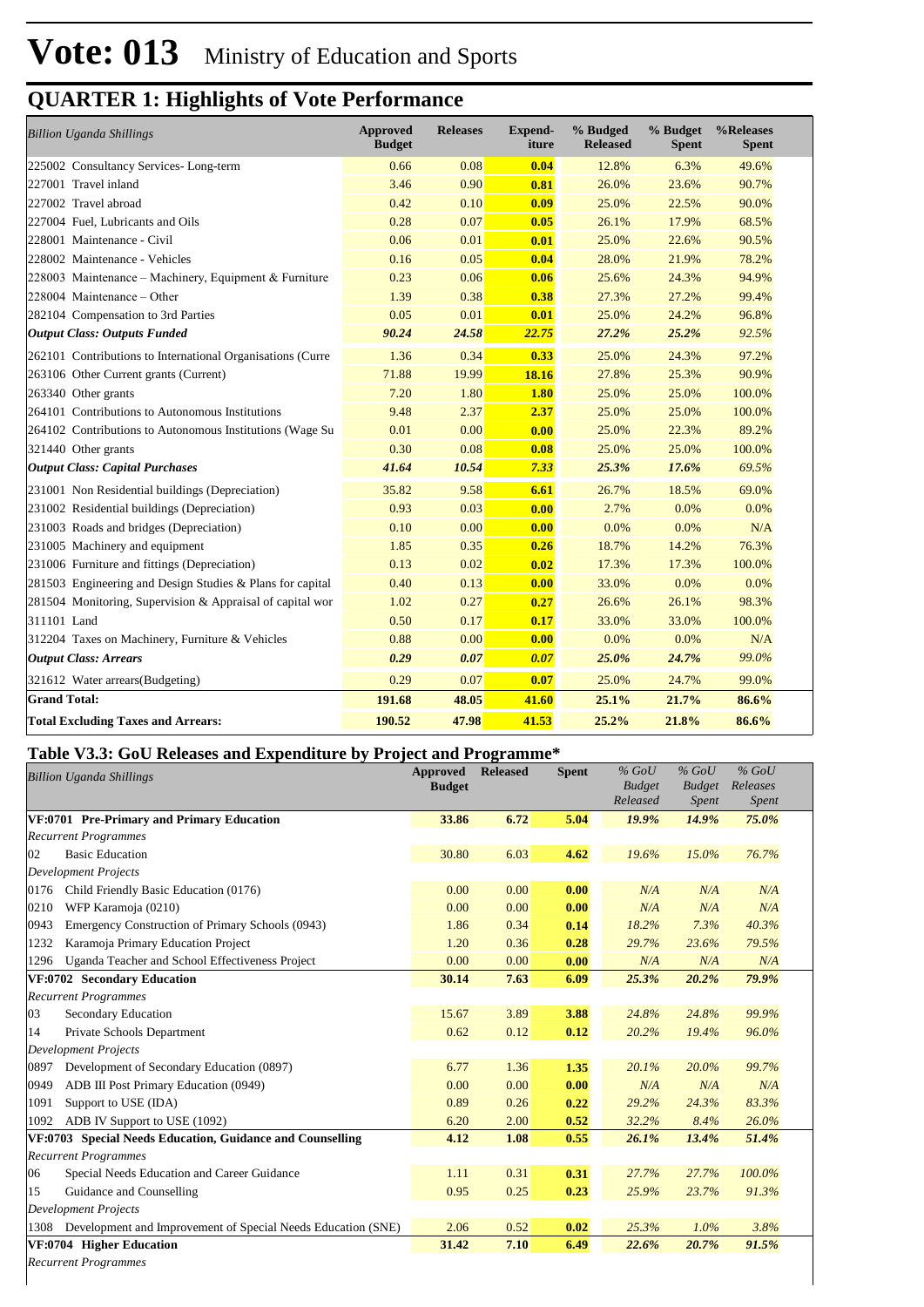| <b>Billion Uganda Shillings</b>                            | <b>Approved</b><br><b>Budget</b> | <b>Releases</b> | <b>Expend-</b><br>iture | % Budged<br><b>Released</b> | % Budget<br><b>Spent</b> | %Releases<br><b>Spent</b> |
|------------------------------------------------------------|----------------------------------|-----------------|-------------------------|-----------------------------|--------------------------|---------------------------|
| 225002 Consultancy Services-Long-term                      | 0.66                             | 0.08            | 0.04                    | 12.8%                       | 6.3%                     | 49.6%                     |
| 227001 Travel inland                                       | 3.46                             | 0.90            | 0.81                    | 26.0%                       | 23.6%                    | 90.7%                     |
| 227002 Travel abroad                                       | 0.42                             | 0.10            | 0.09                    | 25.0%                       | 22.5%                    | 90.0%                     |
| 227004 Fuel, Lubricants and Oils                           | 0.28                             | 0.07            | 0.05                    | 26.1%                       | 17.9%                    | 68.5%                     |
| 228001 Maintenance - Civil                                 | 0.06                             | 0.01            | 0.01                    | 25.0%                       | 22.6%                    | 90.5%                     |
| 228002 Maintenance - Vehicles                              | 0.16                             | 0.05            | 0.04                    | 28.0%                       | 21.9%                    | 78.2%                     |
| 228003 Maintenance – Machinery, Equipment & Furniture      | 0.23                             | 0.06            | 0.06                    | 25.6%                       | 24.3%                    | 94.9%                     |
| $228004$ Maintenance – Other                               | 1.39                             | 0.38            | 0.38                    | 27.3%                       | 27.2%                    | 99.4%                     |
| 282104 Compensation to 3rd Parties                         | 0.05                             | 0.01            | 0.01                    | 25.0%                       | 24.2%                    | 96.8%                     |
| <b>Output Class: Outputs Funded</b>                        | 90.24                            | 24.58           | 22.75                   | 27.2%                       | 25.2%                    | 92.5%                     |
| 262101 Contributions to International Organisations (Curre | 1.36                             | 0.34            | 0.33                    | 25.0%                       | 24.3%                    | 97.2%                     |
| 263106 Other Current grants (Current)                      | 71.88                            | 19.99           | 18.16                   | 27.8%                       | 25.3%                    | 90.9%                     |
| 263340 Other grants                                        | 7.20                             | 1.80            | 1.80                    | 25.0%                       | 25.0%                    | 100.0%                    |
| 264101 Contributions to Autonomous Institutions            | 9.48                             | 2.37            | 2.37                    | 25.0%                       | 25.0%                    | 100.0%                    |
| 264102 Contributions to Autonomous Institutions (Wage Su   | 0.01                             | 0.00            | 0.00                    | 25.0%                       | 22.3%                    | 89.2%                     |
| 321440 Other grants                                        | 0.30                             | 0.08            | 0.08                    | 25.0%                       | 25.0%                    | 100.0%                    |
| <b>Output Class: Capital Purchases</b>                     | 41.64                            | 10.54           | 7.33                    | 25.3%                       | 17.6%                    | 69.5%                     |
| 231001 Non Residential buildings (Depreciation)            | 35.82                            | 9.58            | 6.61                    | 26.7%                       | 18.5%                    | 69.0%                     |
| 231002 Residential buildings (Depreciation)                | 0.93                             | 0.03            | 0.00                    | 2.7%                        | 0.0%                     | 0.0%                      |
| 231003 Roads and bridges (Depreciation)                    | 0.10                             | 0.00            | 0.00                    | 0.0%                        | 0.0%                     | N/A                       |
| 231005 Machinery and equipment                             | 1.85                             | 0.35            | 0.26                    | 18.7%                       | 14.2%                    | 76.3%                     |
| 231006 Furniture and fittings (Depreciation)               | 0.13                             | 0.02            | 0.02                    | 17.3%                       | 17.3%                    | 100.0%                    |
| 281503 Engineering and Design Studies & Plans for capital  | 0.40                             | 0.13            | 0.00                    | 33.0%                       | 0.0%                     | 0.0%                      |
| 281504 Monitoring, Supervision & Appraisal of capital wor  | 1.02                             | 0.27            | 0.27                    | 26.6%                       | 26.1%                    | 98.3%                     |
| 311101 Land                                                | 0.50                             | 0.17            | 0.17                    | 33.0%                       | 33.0%                    | 100.0%                    |
| 312204 Taxes on Machinery, Furniture & Vehicles            | 0.88                             | 0.00            | 0.00                    | 0.0%                        | 0.0%                     | N/A                       |
| <b>Output Class: Arrears</b>                               | 0.29                             | 0.07            | 0.07                    | 25.0%                       | 24.7%                    | 99.0%                     |
| 321612 Water arrears (Budgeting)                           | 0.29                             | 0.07            | 0.07                    | 25.0%                       | 24.7%                    | 99.0%                     |
| <b>Grand Total:</b>                                        | 191.68                           | 48.05           | 41.60                   | 25.1%                       | 21.7%                    | 86.6%                     |
| <b>Total Excluding Taxes and Arrears:</b>                  | 190.52                           | 47.98           | 41.53                   | 25.2%                       | 21.8%                    | 86.6%                     |

#### **Table V3.3: GoU Releases and Expenditure by Project and Programme\***

| <b>Billion Uganda Shillings</b>                                      | <b>Approved</b><br><b>Budget</b> | <b>Released</b> | <b>Spent</b> | $%$ GoU<br><b>Budget</b><br>Released | $%$ GoU<br><b>Budget</b><br>Spent | $%$ GoU<br>Releases<br>Spent |
|----------------------------------------------------------------------|----------------------------------|-----------------|--------------|--------------------------------------|-----------------------------------|------------------------------|
| VF:0701 Pre-Primary and Primary Education                            | 33.86                            | 6.72            | 5.04         | 19.9%                                | 14.9%                             | 75.0%                        |
| <b>Recurrent Programmes</b>                                          |                                  |                 |              |                                      |                                   |                              |
| <b>Basic Education</b><br>02                                         | 30.80                            | 6.03            | 4.62         | 19.6%                                | 15.0%                             | 76.7%                        |
| <b>Development Projects</b>                                          |                                  |                 |              |                                      |                                   |                              |
| 0176<br>Child Friendly Basic Education (0176)                        | 0.00                             | 0.00            | 0.00         | N/A                                  | N/A                               | N/A                          |
| 0210<br>WFP Karamoja (0210)                                          | 0.00                             | 0.00            | 0.00         | N/A                                  | N/A                               | N/A                          |
| Emergency Construction of Primary Schools (0943)<br>0943             | 1.86                             | 0.34            | 0.14         | 18.2%                                | 7.3%                              | 40.3%                        |
| Karamoja Primary Education Project<br>1232                           | 1.20                             | 0.36            | 0.28         | 29.7%                                | 23.6%                             | 79.5%                        |
| Uganda Teacher and School Effectiveness Project<br>1296              | 0.00                             | 0.00            | 0.00         | N/A                                  | N/A                               | N/A                          |
| VF:0702 Secondary Education                                          | 30.14                            | 7.63            | 6.09         | 25.3%                                | 20.2%                             | 79.9%                        |
| <b>Recurrent Programmes</b>                                          |                                  |                 |              |                                      |                                   |                              |
| Secondary Education<br>03                                            | 15.67                            | 3.89            | 3.88         | 24.8%                                | 24.8%                             | 99.9%                        |
| Private Schools Department<br>14                                     | 0.62                             | 0.12            | 0.12         | 20.2%                                | 19.4%                             | 96.0%                        |
| <b>Development Projects</b>                                          |                                  |                 |              |                                      |                                   |                              |
| Development of Secondary Education (0897)<br>0897                    | 6.77                             | 1.36            | 1.35         | 20.1%                                | 20.0%                             | 99.7%                        |
| ADB III Post Primary Education (0949)<br>0949                        | 0.00                             | 0.00            | 0.00         | N/A                                  | N/A                               | N/A                          |
| Support to USE (IDA)<br>1091                                         | 0.89                             | 0.26            | 0.22         | 29.2%                                | 24.3%                             | 83.3%                        |
| ADB IV Support to USE (1092)<br>1092                                 | 6.20                             | 2.00            | 0.52         | 32.2%                                | 8.4%                              | 26.0%                        |
| VF:0703 Special Needs Education, Guidance and Counselling            | 4.12                             | 1.08            | 0.55         | 26.1%                                | 13.4%                             | 51.4%                        |
| <b>Recurrent Programmes</b>                                          |                                  |                 |              |                                      |                                   |                              |
| Special Needs Education and Career Guidance<br>06                    | 1.11                             | 0.31            | 0.31         | 27.7%                                | 27.7%                             | 100.0%                       |
| Guidance and Counselling<br>15                                       | 0.95                             | 0.25            | 0.23         | 25.9%                                | 23.7%                             | 91.3%                        |
| <b>Development Projects</b>                                          |                                  |                 |              |                                      |                                   |                              |
| Development and Improvement of Special Needs Education (SNE)<br>1308 | 2.06                             | 0.52            | 0.02         | 25.3%                                | 1.0%                              | 3.8%                         |
| VF:0704 Higher Education                                             | 31.42                            | 7.10            | 6.49         | 22.6%                                | 20.7%                             | 91.5%                        |
| <b>Recurrent Programmes</b>                                          |                                  |                 |              |                                      |                                   |                              |